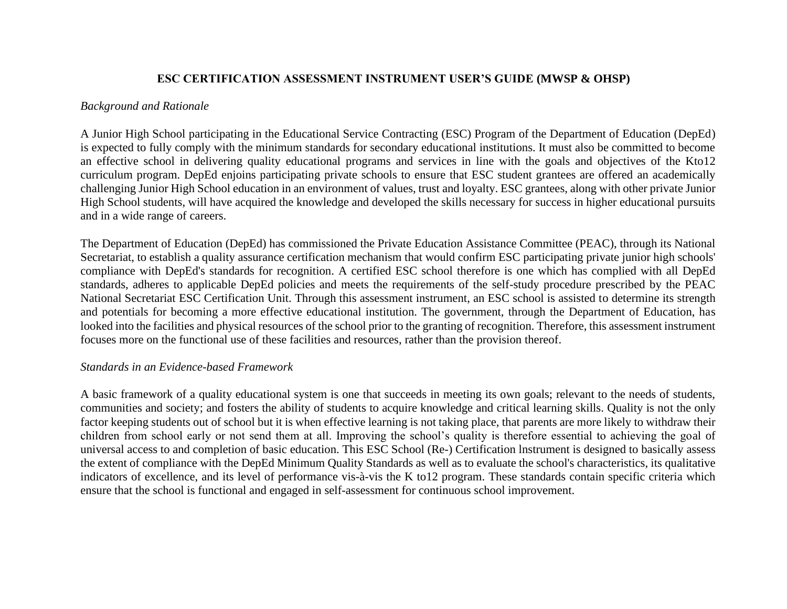#### **ESC CERTIFICATION ASSESSMENT INSTRUMENT USER'S GUIDE (MWSP & OHSP)**

#### *Background and Rationale*

A Junior High School participating in the Educational Service Contracting (ESC) Program of the Department of Education (DepEd) is expected to fully comply with the minimum standards for secondary educational institutions. It must also be committed to become an effective school in delivering quality educational programs and services in line with the goals and objectives of the Kto12 curriculum program. DepEd enjoins participating private schools to ensure that ESC student grantees are offered an academically challenging Junior High School education in an environment of values, trust and loyalty. ESC grantees, along with other private Junior High School students, will have acquired the knowledge and developed the skills necessary for success in higher educational pursuits and in a wide range of careers.

The Department of Education (DepEd) has commissioned the Private Education Assistance Committee (PEAC), through its National Secretariat, to establish a quality assurance certification mechanism that would confirm ESC participating private junior high schools' compliance with DepEd's standards for recognition. A certified ESC school therefore is one which has complied with all DepEd standards, adheres to applicable DepEd policies and meets the requirements of the self-study procedure prescribed by the PEAC National Secretariat ESC Certification Unit. Through this assessment instrument, an ESC school is assisted to determine its strength and potentials for becoming a more effective educational institution. The government, through the Department of Education, has looked into the facilities and physical resources of the school prior to the granting of recognition. Therefore, this assessment instrument focuses more on the functional use of these facilities and resources, rather than the provision thereof.

#### *Standards in an Evidence-based Framework*

A basic framework of a quality educational system is one that succeeds in meeting its own goals; relevant to the needs of students, communities and society; and fosters the ability of students to acquire knowledge and critical learning skills. Quality is not the only factor keeping students out of school but it is when effective learning is not taking place, that parents are more likely to withdraw their children from school early or not send them at all. Improving the school's quality is therefore essential to achieving the goal of universal access to and completion of basic education. This ESC School (Re-) Certification lnstrument is designed to basically assess the extent of compliance with the DepEd Minimum Quality Standards as well as to evaluate the school's characteristics, its qualitative indicators of excellence, and its level of performance vis-à-vis the K to12 program. These standards contain specific criteria which ensure that the school is functional and engaged in self-assessment for continuous school improvement.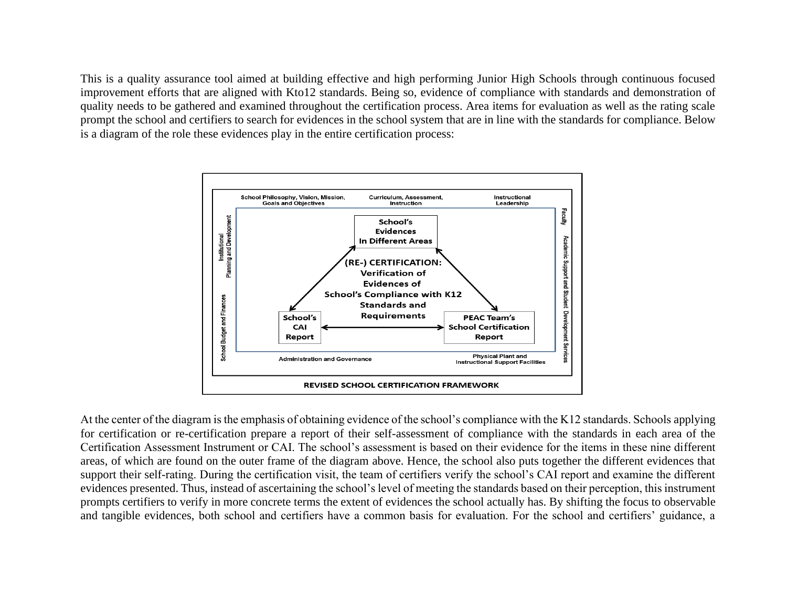This is a quality assurance tool aimed at building effective and high performing Junior High Schools through continuous focused improvement efforts that are aligned with Kto12 standards. Being so, evidence of compliance with standards and demonstration of quality needs to be gathered and examined throughout the certification process. Area items for evaluation as well as the rating scale prompt the school and certifiers to search for evidences in the school system that are in line with the standards for compliance. Below is a diagram of the role these evidences play in the entire certification process:



At the center of the diagram is the emphasis of obtaining evidence of the school's compliance with the K12 standards. Schools applying for certification or re-certification prepare a report of their self-assessment of compliance with the standards in each area of the Certification Assessment Instrument or CAI. The school's assessment is based on their evidence for the items in these nine different areas, of which are found on the outer frame of the diagram above. Hence, the school also puts together the different evidences that support their self-rating. During the certification visit, the team of certifiers verify the school's CAI report and examine the different evidences presented. Thus, instead of ascertaining the school's level of meeting the standards based on their perception, this instrument prompts certifiers to verify in more concrete terms the extent of evidences the school actually has. By shifting the focus to observable and tangible evidences, both school and certifiers have a common basis for evaluation. For the school and certifiers' guidance, a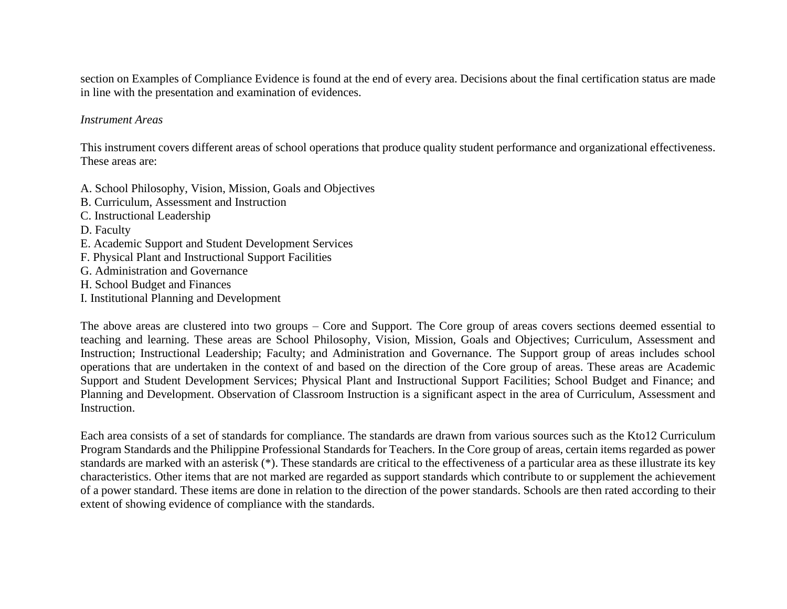section on Examples of Compliance Evidence is found at the end of every area. Decisions about the final certification status are made in line with the presentation and examination of evidences.

#### *Instrument Areas*

This instrument covers different areas of school operations that produce quality student performance and organizational effectiveness. These areas are:

- A. School Philosophy, Vision, Mission, Goals and Objectives
- B. Curriculum, Assessment and Instruction
- C. Instructional Leadership
- D. Faculty
- E. Academic Support and Student Development Services
- F. Physical Plant and Instructional Support Facilities
- G. Administration and Governance
- H. School Budget and Finances
- I. Institutional Planning and Development

The above areas are clustered into two groups – Core and Support. The Core group of areas covers sections deemed essential to teaching and learning. These areas are School Philosophy, Vision, Mission, Goals and Objectives; Curriculum, Assessment and Instruction; Instructional Leadership; Faculty; and Administration and Governance. The Support group of areas includes school operations that are undertaken in the context of and based on the direction of the Core group of areas. These areas are Academic Support and Student Development Services; Physical Plant and Instructional Support Facilities; School Budget and Finance; and Planning and Development. Observation of Classroom Instruction is a significant aspect in the area of Curriculum, Assessment and Instruction.

Each area consists of a set of standards for compliance. The standards are drawn from various sources such as the Kto12 Curriculum Program Standards and the Philippine Professional Standards for Teachers. In the Core group of areas, certain items regarded as power standards are marked with an asterisk (\*). These standards are critical to the effectiveness of a particular area as these illustrate its key characteristics. Other items that are not marked are regarded as support standards which contribute to or supplement the achievement of a power standard. These items are done in relation to the direction of the power standards. Schools are then rated according to their extent of showing evidence of compliance with the standards.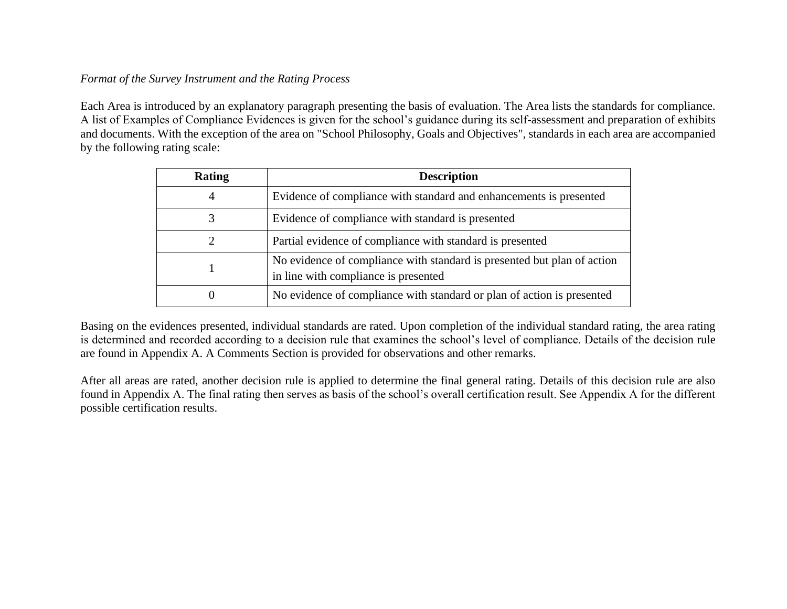### *Format of the Survey Instrument and the Rating Process*

Each Area is introduced by an explanatory paragraph presenting the basis of evaluation. The Area lists the standards for compliance. A list of Examples of Compliance Evidences is given for the school's guidance during its self-assessment and preparation of exhibits and documents. With the exception of the area on "School Philosophy, Goals and Objectives", standards in each area are accompanied by the following rating scale:

| <b>Rating</b>  | <b>Description</b>                                                                                              |
|----------------|-----------------------------------------------------------------------------------------------------------------|
| $\overline{4}$ | Evidence of compliance with standard and enhancements is presented                                              |
| 3              | Evidence of compliance with standard is presented                                                               |
|                | Partial evidence of compliance with standard is presented                                                       |
|                | No evidence of compliance with standard is presented but plan of action<br>in line with compliance is presented |
| $\theta$       | No evidence of compliance with standard or plan of action is presented                                          |

Basing on the evidences presented, individual standards are rated. Upon completion of the individual standard rating, the area rating is determined and recorded according to a decision rule that examines the school's level of compliance. Details of the decision rule are found in Appendix A. A Comments Section is provided for observations and other remarks.

After all areas are rated, another decision rule is applied to determine the final general rating. Details of this decision rule are also found in Appendix A. The final rating then serves as basis of the school's overall certification result. See Appendix A for the different possible certification results.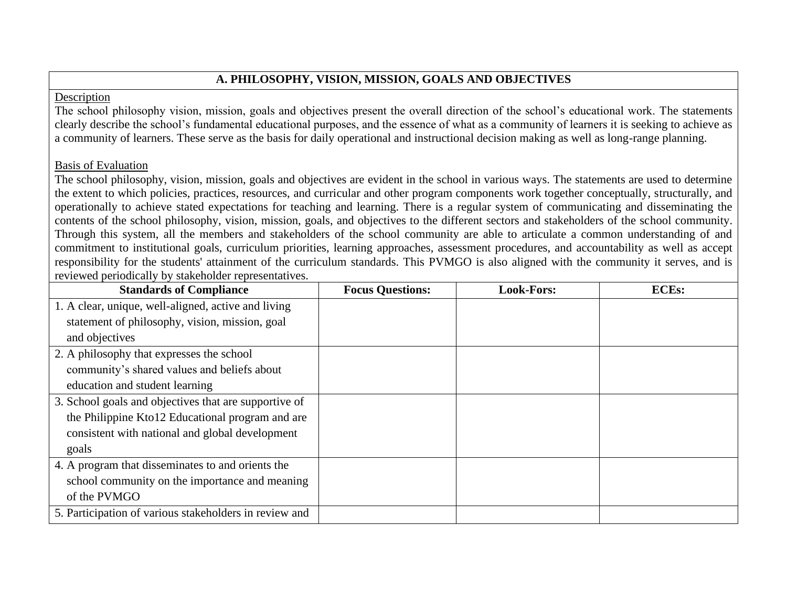## **A. PHILOSOPHY, VISION, MISSION, GOALS AND OBJECTIVES**

#### Description

The school philosophy vision, mission, goals and objectives present the overall direction of the school's educational work. The statements clearly describe the school's fundamental educational purposes, and the essence of what as a community of learners it is seeking to achieve as a community of learners. These serve as the basis for daily operational and instructional decision making as well as long-range planning.

#### Basis of Evaluation

The school philosophy, vision, mission, goals and objectives are evident in the school in various ways. The statements are used to determine the extent to which policies, practices, resources, and curricular and other program components work together conceptually, structurally, and operationally to achieve stated expectations for teaching and learning. There is a regular system of communicating and disseminating the contents of the school philosophy, vision, mission, goals, and objectives to the different sectors and stakeholders of the school community. Through this system, all the members and stakeholders of the school community are able to articulate a common understanding of and commitment to institutional goals, curriculum priorities, learning approaches, assessment procedures, and accountability as well as accept responsibility for the students' attainment of the curriculum standards. This PVMGO is also aligned with the community it serves, and is reviewed periodically by stakeholder representatives.

| <b>Standards of Compliance</b>                         | <b>Focus Questions:</b> | <b>Look-Fors:</b> | <b>ECEs:</b> |
|--------------------------------------------------------|-------------------------|-------------------|--------------|
| 1. A clear, unique, well-aligned, active and living    |                         |                   |              |
| statement of philosophy, vision, mission, goal         |                         |                   |              |
| and objectives                                         |                         |                   |              |
| 2. A philosophy that expresses the school              |                         |                   |              |
| community's shared values and beliefs about            |                         |                   |              |
| education and student learning                         |                         |                   |              |
| 3. School goals and objectives that are supportive of  |                         |                   |              |
| the Philippine Kto12 Educational program and are       |                         |                   |              |
| consistent with national and global development        |                         |                   |              |
| goals                                                  |                         |                   |              |
| 4. A program that disseminates to and orients the      |                         |                   |              |
| school community on the importance and meaning         |                         |                   |              |
| of the PVMGO                                           |                         |                   |              |
| 5. Participation of various stakeholders in review and |                         |                   |              |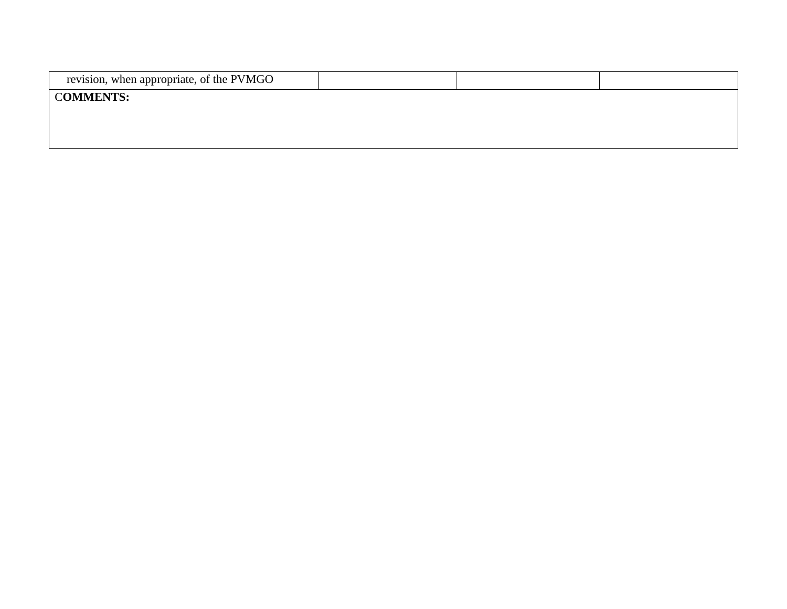| revision, when appropriate, of the PVMGO |  |  |
|------------------------------------------|--|--|
| <b>COMMENTS:</b>                         |  |  |
|                                          |  |  |
|                                          |  |  |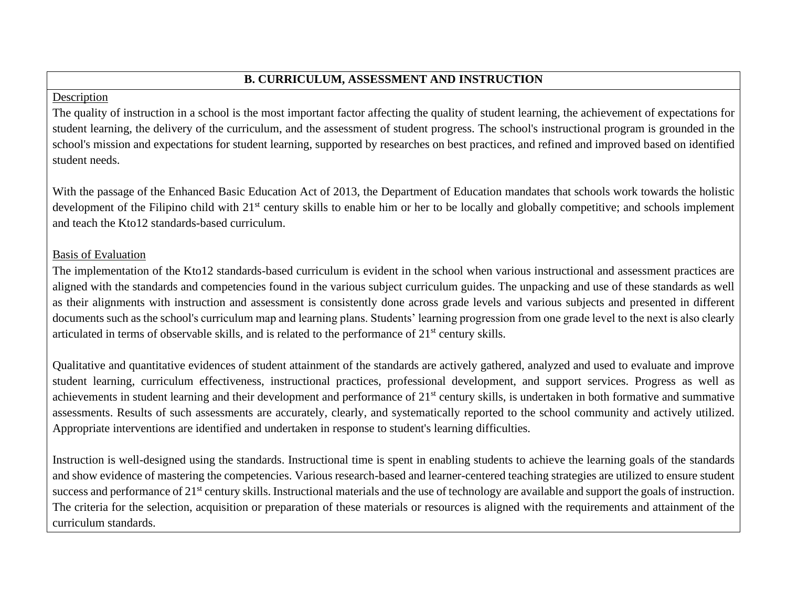# **B. CURRICULUM, ASSESSMENT AND INSTRUCTION**

### Description

The quality of instruction in a school is the most important factor affecting the quality of student learning, the achievement of expectations for student learning, the delivery of the curriculum, and the assessment of student progress. The school's instructional program is grounded in the school's mission and expectations for student learning, supported by researches on best practices, and refined and improved based on identified student needs.

With the passage of the Enhanced Basic Education Act of 2013, the Department of Education mandates that schools work towards the holistic development of the Filipino child with 21<sup>st</sup> century skills to enable him or her to be locally and globally competitive; and schools implement and teach the Kto12 standards-based curriculum.

### Basis of Evaluation

The implementation of the Kto12 standards-based curriculum is evident in the school when various instructional and assessment practices are aligned with the standards and competencies found in the various subject curriculum guides. The unpacking and use of these standards as well as their alignments with instruction and assessment is consistently done across grade levels and various subjects and presented in different documents such as the school's curriculum map and learning plans. Students' learning progression from one grade level to the next is also clearly articulated in terms of observable skills, and is related to the performance of 21st century skills.

Qualitative and quantitative evidences of student attainment of the standards are actively gathered, analyzed and used to evaluate and improve student learning, curriculum effectiveness, instructional practices, professional development, and support services. Progress as well as achievements in student learning and their development and performance of 21st century skills, is undertaken in both formative and summative assessments. Results of such assessments are accurately, clearly, and systematically reported to the school community and actively utilized. Appropriate interventions are identified and undertaken in response to student's learning difficulties.

Instruction is well-designed using the standards. Instructional time is spent in enabling students to achieve the learning goals of the standards and show evidence of mastering the competencies. Various research-based and learner-centered teaching strategies are utilized to ensure student success and performance of 21<sup>st</sup> century skills. Instructional materials and the use of technology are available and support the goals of instruction. The criteria for the selection, acquisition or preparation of these materials or resources is aligned with the requirements and attainment of the curriculum standards.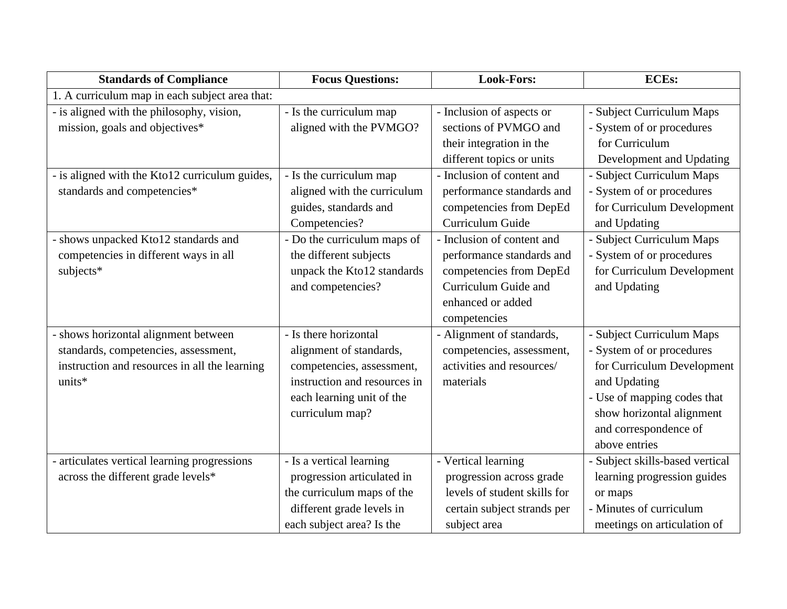| <b>Standards of Compliance</b>                 | <b>Focus Questions:</b>      | <b>Look-Fors:</b>            | <b>ECEs:</b>                    |
|------------------------------------------------|------------------------------|------------------------------|---------------------------------|
| 1. A curriculum map in each subject area that: |                              |                              |                                 |
| - is aligned with the philosophy, vision,      | - Is the curriculum map      | - Inclusion of aspects or    | - Subject Curriculum Maps       |
| mission, goals and objectives*                 | aligned with the PVMGO?      | sections of PVMGO and        | - System of or procedures       |
|                                                |                              | their integration in the     | for Curriculum                  |
|                                                |                              | different topics or units    | Development and Updating        |
| - is aligned with the Kto12 curriculum guides, | - Is the curriculum map      | - Inclusion of content and   | - Subject Curriculum Maps       |
| standards and competencies*                    | aligned with the curriculum  | performance standards and    | - System of or procedures       |
|                                                | guides, standards and        | competencies from DepEd      | for Curriculum Development      |
|                                                | Competencies?                | Curriculum Guide             | and Updating                    |
| - shows unpacked Kto12 standards and           | - Do the curriculum maps of  | - Inclusion of content and   | - Subject Curriculum Maps       |
| competencies in different ways in all          | the different subjects       | performance standards and    | - System of or procedures       |
| subjects*                                      | unpack the Kto12 standards   | competencies from DepEd      | for Curriculum Development      |
|                                                | and competencies?            | Curriculum Guide and         | and Updating                    |
|                                                |                              | enhanced or added            |                                 |
|                                                |                              | competencies                 |                                 |
| - shows horizontal alignment between           | - Is there horizontal        | - Alignment of standards,    | - Subject Curriculum Maps       |
| standards, competencies, assessment,           | alignment of standards,      | competencies, assessment,    | - System of or procedures       |
| instruction and resources in all the learning  | competencies, assessment,    | activities and resources/    | for Curriculum Development      |
| units*                                         | instruction and resources in | materials                    | and Updating                    |
|                                                | each learning unit of the    |                              | - Use of mapping codes that     |
|                                                | curriculum map?              |                              | show horizontal alignment       |
|                                                |                              |                              | and correspondence of           |
|                                                |                              |                              | above entries                   |
| - articulates vertical learning progressions   | - Is a vertical learning     | - Vertical learning          | - Subject skills-based vertical |
| across the different grade levels*             | progression articulated in   | progression across grade     | learning progression guides     |
|                                                | the curriculum maps of the   | levels of student skills for | or maps                         |
|                                                | different grade levels in    | certain subject strands per  | - Minutes of curriculum         |
|                                                | each subject area? Is the    | subject area                 | meetings on articulation of     |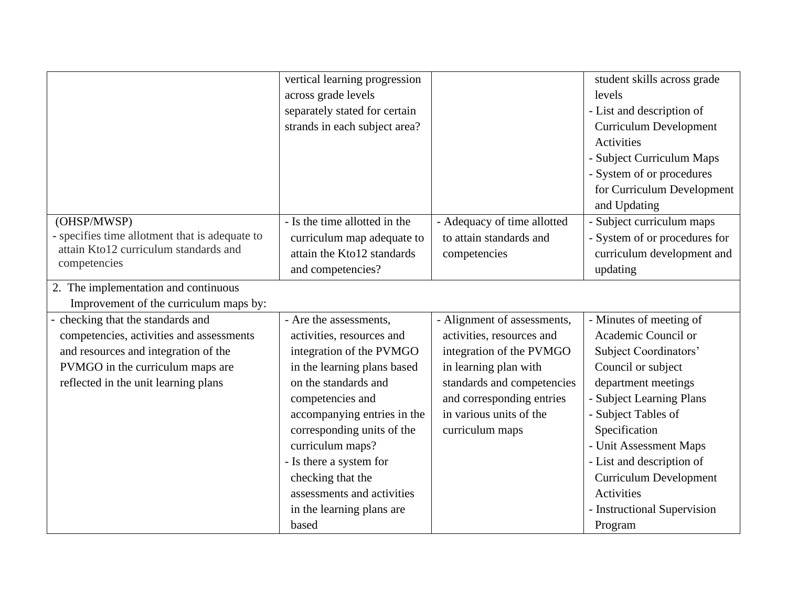|                                                | vertical learning progression |                             | student skills across grade   |
|------------------------------------------------|-------------------------------|-----------------------------|-------------------------------|
|                                                | across grade levels           |                             | levels                        |
|                                                | separately stated for certain |                             | - List and description of     |
|                                                | strands in each subject area? |                             | <b>Curriculum Development</b> |
|                                                |                               |                             | Activities                    |
|                                                |                               |                             | - Subject Curriculum Maps     |
|                                                |                               |                             | - System of or procedures     |
|                                                |                               |                             | for Curriculum Development    |
|                                                |                               |                             | and Updating                  |
| (OHSP/MWSP)                                    | - Is the time allotted in the | - Adequacy of time allotted | - Subject curriculum maps     |
| - specifies time allotment that is adequate to | curriculum map adequate to    | to attain standards and     | - System of or procedures for |
| attain Kto12 curriculum standards and          | attain the Kto12 standards    | competencies                | curriculum development and    |
| competencies                                   | and competencies?             |                             | updating                      |
| 2. The implementation and continuous           |                               |                             |                               |
| Improvement of the curriculum maps by:         |                               |                             |                               |
| checking that the standards and                | - Are the assessments,        | - Alignment of assessments, | - Minutes of meeting of       |
| competencies, activities and assessments       | activities, resources and     | activities, resources and   | Academic Council or           |
| and resources and integration of the           | integration of the PVMGO      | integration of the PVMGO    | Subject Coordinators'         |
| PVMGO in the curriculum maps are               | in the learning plans based   | in learning plan with       | Council or subject            |
| reflected in the unit learning plans           | on the standards and          | standards and competencies  | department meetings           |
|                                                | competencies and              | and corresponding entries   | - Subject Learning Plans      |
|                                                | accompanying entries in the   | in various units of the     | - Subject Tables of           |
|                                                | corresponding units of the    | curriculum maps             | Specification                 |
|                                                | curriculum maps?              |                             | - Unit Assessment Maps        |
|                                                | - Is there a system for       |                             | - List and description of     |
|                                                | checking that the             |                             | <b>Curriculum Development</b> |
|                                                | assessments and activities    |                             | Activities                    |
|                                                | in the learning plans are     |                             | - Instructional Supervision   |
|                                                | based                         |                             | Program                       |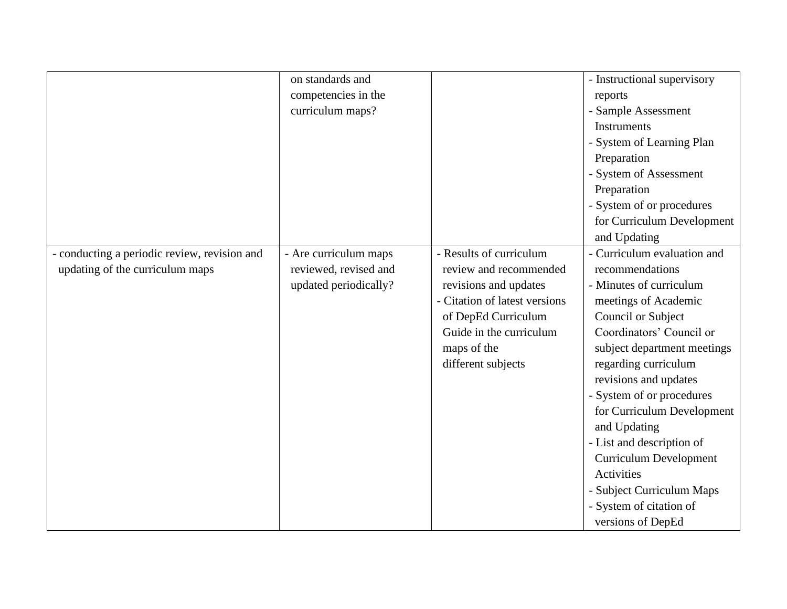|                                            | on standards and      |                               | - Instructional supervisory   |
|--------------------------------------------|-----------------------|-------------------------------|-------------------------------|
|                                            | competencies in the   |                               | reports                       |
|                                            | curriculum maps?      |                               | - Sample Assessment           |
|                                            |                       |                               | <b>Instruments</b>            |
|                                            |                       |                               | - System of Learning Plan     |
|                                            |                       |                               | Preparation                   |
|                                            |                       |                               | - System of Assessment        |
|                                            |                       |                               | Preparation                   |
|                                            |                       |                               | - System of or procedures     |
|                                            |                       |                               | for Curriculum Development    |
|                                            |                       |                               | and Updating                  |
| conducting a periodic review, revision and | - Are curriculum maps | - Results of curriculum       | - Curriculum evaluation and   |
| updating of the curriculum maps            | reviewed, revised and | review and recommended        | recommendations               |
|                                            | updated periodically? | revisions and updates         | - Minutes of curriculum       |
|                                            |                       | - Citation of latest versions | meetings of Academic          |
|                                            |                       | of DepEd Curriculum           | Council or Subject            |
|                                            |                       | Guide in the curriculum       | Coordinators' Council or      |
|                                            |                       | maps of the                   | subject department meetings   |
|                                            |                       | different subjects            | regarding curriculum          |
|                                            |                       |                               | revisions and updates         |
|                                            |                       |                               | System of or procedures       |
|                                            |                       |                               | for Curriculum Development    |
|                                            |                       |                               | and Updating                  |
|                                            |                       |                               | - List and description of     |
|                                            |                       |                               | <b>Curriculum Development</b> |
|                                            |                       |                               | Activities                    |
|                                            |                       |                               | - Subject Curriculum Maps     |
|                                            |                       |                               | - System of citation of       |
|                                            |                       |                               | versions of DepEd             |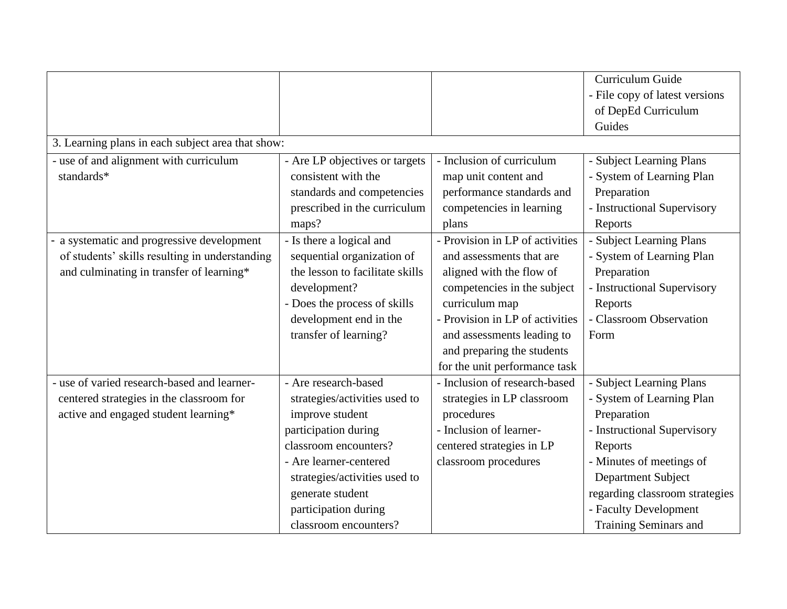|                                                   |                                 |                                 | Curriculum Guide               |
|---------------------------------------------------|---------------------------------|---------------------------------|--------------------------------|
|                                                   |                                 |                                 | - File copy of latest versions |
|                                                   |                                 |                                 | of DepEd Curriculum            |
|                                                   |                                 |                                 | Guides                         |
| 3. Learning plans in each subject area that show: |                                 |                                 |                                |
| - use of and alignment with curriculum            | - Are LP objectives or targets  | - Inclusion of curriculum       | - Subject Learning Plans       |
| standards*                                        | consistent with the             | map unit content and            | - System of Learning Plan      |
|                                                   | standards and competencies      | performance standards and       | Preparation                    |
|                                                   | prescribed in the curriculum    | competencies in learning        | - Instructional Supervisory    |
|                                                   | maps?                           | plans                           | Reports                        |
| a systematic and progressive development          | - Is there a logical and        | - Provision in LP of activities | - Subject Learning Plans       |
| of students' skills resulting in understanding    | sequential organization of      | and assessments that are        | - System of Learning Plan      |
| and culminating in transfer of learning*          | the lesson to facilitate skills | aligned with the flow of        | Preparation                    |
|                                                   | development?                    | competencies in the subject     | - Instructional Supervisory    |
|                                                   | - Does the process of skills    | curriculum map                  | Reports                        |
|                                                   | development end in the          | - Provision in LP of activities | - Classroom Observation        |
|                                                   | transfer of learning?           | and assessments leading to      | Form                           |
|                                                   |                                 | and preparing the students      |                                |
|                                                   |                                 | for the unit performance task   |                                |
| - use of varied research-based and learner-       | - Are research-based            | - Inclusion of research-based   | - Subject Learning Plans       |
| centered strategies in the classroom for          | strategies/activities used to   | strategies in LP classroom      | - System of Learning Plan      |
| active and engaged student learning*              | improve student                 | procedures                      | Preparation                    |
|                                                   | participation during            | - Inclusion of learner-         | - Instructional Supervisory    |
|                                                   | classroom encounters?           | centered strategies in LP       | Reports                        |
|                                                   | - Are learner-centered          | classroom procedures            | - Minutes of meetings of       |
|                                                   | strategies/activities used to   |                                 | Department Subject             |
|                                                   | generate student                |                                 | regarding classroom strategies |
|                                                   | participation during            |                                 | - Faculty Development          |
|                                                   | classroom encounters?           |                                 | Training Seminars and          |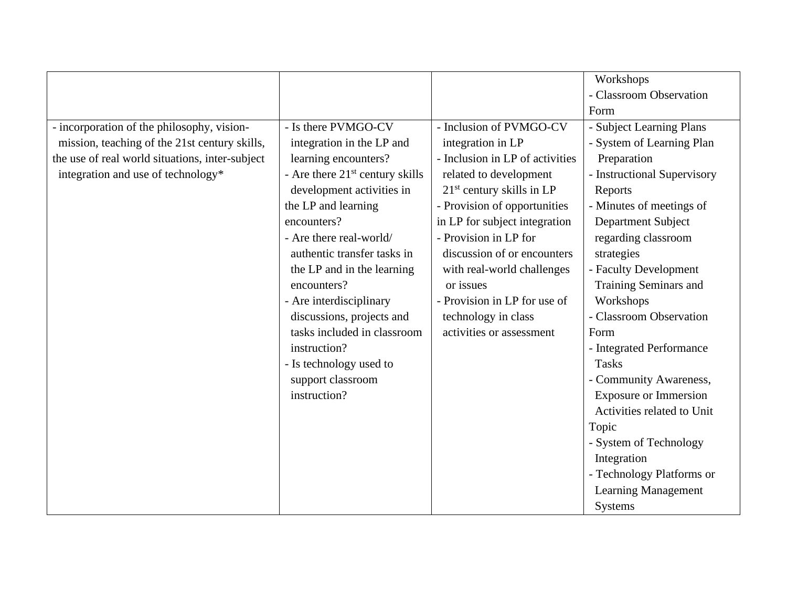|                                                 |                                   |                                 | Workshops                    |
|-------------------------------------------------|-----------------------------------|---------------------------------|------------------------------|
|                                                 |                                   |                                 | - Classroom Observation      |
|                                                 |                                   |                                 | Form                         |
| - incorporation of the philosophy, vision-      | - Is there PVMGO-CV               | - Inclusion of PVMGO-CV         | - Subject Learning Plans     |
| mission, teaching of the 21st century skills,   | integration in the LP and         | integration in LP               | - System of Learning Plan    |
| the use of real world situations, inter-subject | learning encounters?              | - Inclusion in LP of activities | Preparation                  |
| integration and use of technology*              | - Are there $21st$ century skills | related to development          | - Instructional Supervisory  |
|                                                 | development activities in         | $21st$ century skills in LP     | Reports                      |
|                                                 | the LP and learning               | - Provision of opportunities    | - Minutes of meetings of     |
|                                                 | encounters?                       | in LP for subject integration   | <b>Department Subject</b>    |
|                                                 | - Are there real-world/           | - Provision in LP for           | regarding classroom          |
|                                                 | authentic transfer tasks in       | discussion of or encounters     | strategies                   |
|                                                 | the LP and in the learning        | with real-world challenges      | - Faculty Development        |
|                                                 | encounters?                       | or issues                       | Training Seminars and        |
|                                                 | - Are interdisciplinary           | - Provision in LP for use of    | Workshops                    |
|                                                 | discussions, projects and         | technology in class             | - Classroom Observation      |
|                                                 | tasks included in classroom       | activities or assessment        | Form                         |
|                                                 | instruction?                      |                                 | - Integrated Performance     |
|                                                 | - Is technology used to           |                                 | <b>Tasks</b>                 |
|                                                 | support classroom                 |                                 | - Community Awareness,       |
|                                                 | instruction?                      |                                 | <b>Exposure or Immersion</b> |
|                                                 |                                   |                                 | Activities related to Unit   |
|                                                 |                                   |                                 | Topic                        |
|                                                 |                                   |                                 | - System of Technology       |
|                                                 |                                   |                                 | Integration                  |
|                                                 |                                   |                                 | - Technology Platforms or    |
|                                                 |                                   |                                 | <b>Learning Management</b>   |
|                                                 |                                   |                                 | <b>Systems</b>               |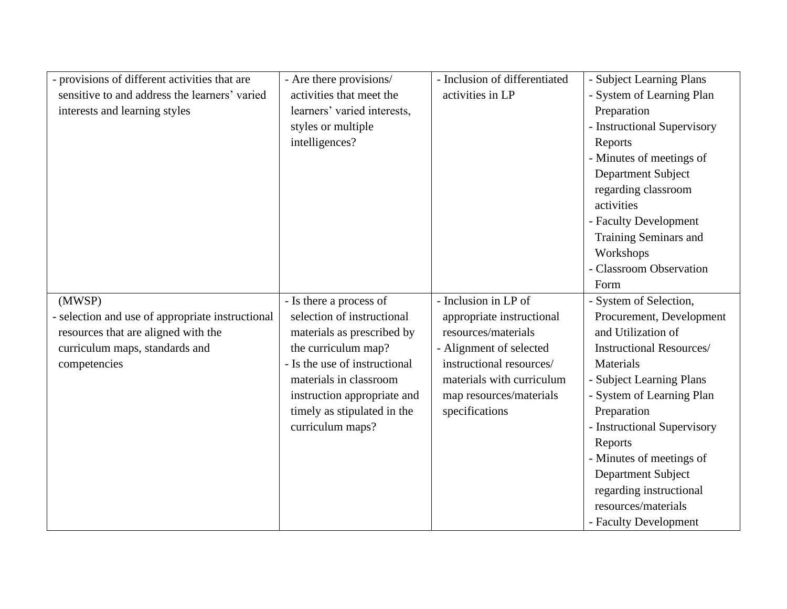| provisions of different activities that are    | - Are there provisions/       | - Inclusion of differentiated | - Subject Learning Plans        |
|------------------------------------------------|-------------------------------|-------------------------------|---------------------------------|
| sensitive to and address the learners' varied  | activities that meet the      | activities in LP              | - System of Learning Plan       |
| interests and learning styles                  | learners' varied interests,   |                               | Preparation                     |
|                                                | styles or multiple            |                               | - Instructional Supervisory     |
|                                                | intelligences?                |                               | Reports                         |
|                                                |                               |                               | - Minutes of meetings of        |
|                                                |                               |                               | Department Subject              |
|                                                |                               |                               | regarding classroom             |
|                                                |                               |                               | activities                      |
|                                                |                               |                               | - Faculty Development           |
|                                                |                               |                               | Training Seminars and           |
|                                                |                               |                               | Workshops                       |
|                                                |                               |                               | - Classroom Observation         |
|                                                |                               |                               | Form                            |
| (MWSP)                                         | - Is there a process of       | - Inclusion in LP of          | - System of Selection,          |
| selection and use of appropriate instructional | selection of instructional    | appropriate instructional     | Procurement, Development        |
| resources that are aligned with the            | materials as prescribed by    | resources/materials           | and Utilization of              |
| curriculum maps, standards and                 | the curriculum map?           | - Alignment of selected       | <b>Instructional Resources/</b> |
| competencies                                   | - Is the use of instructional | instructional resources/      | <b>Materials</b>                |
|                                                | materials in classroom        | materials with curriculum     | - Subject Learning Plans        |
|                                                | instruction appropriate and   | map resources/materials       | - System of Learning Plan       |
|                                                | timely as stipulated in the   | specifications                | Preparation                     |
|                                                | curriculum maps?              |                               | - Instructional Supervisory     |
|                                                |                               |                               | Reports                         |
|                                                |                               |                               | - Minutes of meetings of        |
|                                                |                               |                               | Department Subject              |
|                                                |                               |                               | regarding instructional         |
|                                                |                               |                               | resources/materials             |
|                                                |                               |                               | - Faculty Development           |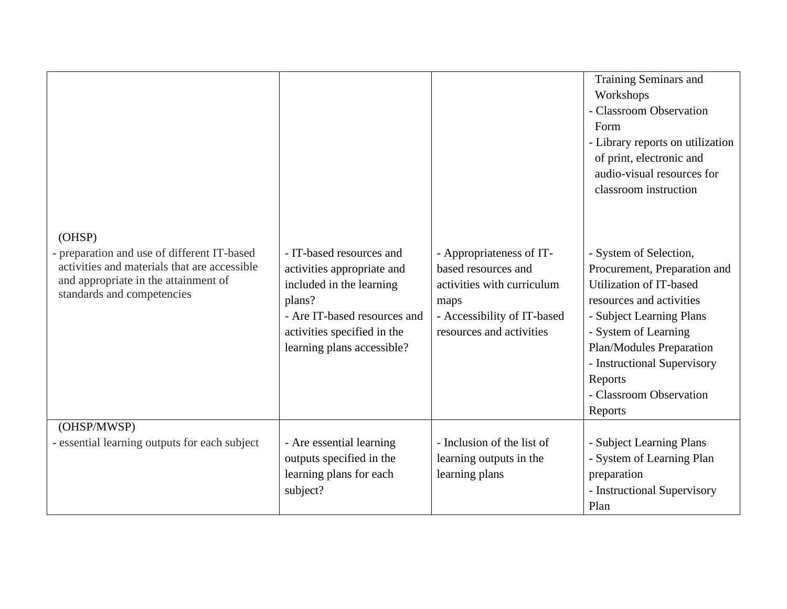| (OHSP)                                                                                                                                                            |                                                                                                                                                                                           |                                                                                                                                                  | Training Seminars and<br>Workshops<br>Classroom Observation<br>Form<br>- Library reports on utilization<br>of print, electronic and<br>audio-visual resources for<br>classroom instruction                                                                                    |
|-------------------------------------------------------------------------------------------------------------------------------------------------------------------|-------------------------------------------------------------------------------------------------------------------------------------------------------------------------------------------|--------------------------------------------------------------------------------------------------------------------------------------------------|-------------------------------------------------------------------------------------------------------------------------------------------------------------------------------------------------------------------------------------------------------------------------------|
| - preparation and use of different IT-based<br>activities and materials that are accessible<br>and appropriate in the attainment of<br>standards and competencies | - IT-based resources and<br>activities appropriate and<br>included in the learning<br>plans?<br>- Are IT-based resources and<br>activities specified in the<br>learning plans accessible? | - Appropriateness of IT-<br>based resources and<br>activities with curriculum<br>maps<br>- Accessibility of IT-based<br>resources and activities | - System of Selection,<br>Procurement, Preparation and<br>Utilization of IT-based<br>resources and activities<br>- Subject Learning Plans<br>- System of Learning<br>Plan/Modules Preparation<br>- Instructional Supervisory<br>Reports<br>- Classroom Observation<br>Reports |
| (OHSP/MWSP)                                                                                                                                                       |                                                                                                                                                                                           |                                                                                                                                                  |                                                                                                                                                                                                                                                                               |
| - essential learning outputs for each subject                                                                                                                     | - Are essential learning<br>outputs specified in the                                                                                                                                      | - Inclusion of the list of<br>learning outputs in the                                                                                            | - Subject Learning Plans<br>- System of Learning Plan                                                                                                                                                                                                                         |
|                                                                                                                                                                   | learning plans for each                                                                                                                                                                   | learning plans                                                                                                                                   | preparation                                                                                                                                                                                                                                                                   |
|                                                                                                                                                                   | subject?                                                                                                                                                                                  |                                                                                                                                                  | - Instructional Supervisory<br>Plan                                                                                                                                                                                                                                           |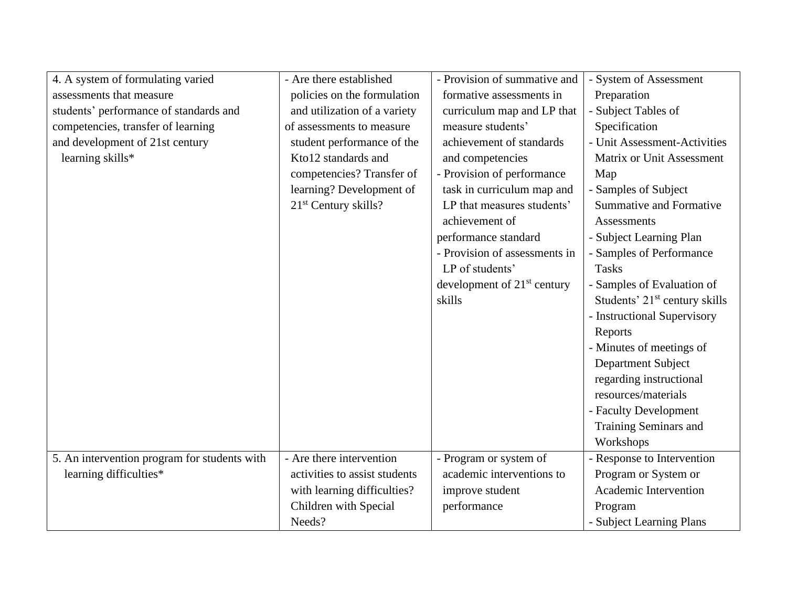| 4. A system of formulating varied            | - Are there established       | - Provision of summative and  | - System of Assessment                    |
|----------------------------------------------|-------------------------------|-------------------------------|-------------------------------------------|
| assessments that measure                     | policies on the formulation   | formative assessments in      | Preparation                               |
| students' performance of standards and       | and utilization of a variety  | curriculum map and LP that    | - Subject Tables of                       |
| competencies, transfer of learning           | of assessments to measure     | measure students'             | Specification                             |
| and development of 21st century              | student performance of the    | achievement of standards      | - Unit Assessment-Activities              |
| learning skills*                             | Kto12 standards and           | and competencies              | Matrix or Unit Assessment                 |
|                                              | competencies? Transfer of     | - Provision of performance    | Map                                       |
|                                              | learning? Development of      | task in curriculum map and    | - Samples of Subject                      |
|                                              | $21st$ Century skills?        | LP that measures students'    | <b>Summative and Formative</b>            |
|                                              |                               | achievement of                | Assessments                               |
|                                              |                               | performance standard          | - Subject Learning Plan                   |
|                                              |                               | - Provision of assessments in | - Samples of Performance                  |
|                                              |                               | LP of students'               | <b>Tasks</b>                              |
|                                              |                               | development of $21st$ century | - Samples of Evaluation of                |
|                                              |                               | skills                        | Students' 21 <sup>st</sup> century skills |
|                                              |                               |                               | - Instructional Supervisory               |
|                                              |                               |                               | Reports                                   |
|                                              |                               |                               | - Minutes of meetings of                  |
|                                              |                               |                               | Department Subject                        |
|                                              |                               |                               | regarding instructional                   |
|                                              |                               |                               | resources/materials                       |
|                                              |                               |                               | - Faculty Development                     |
|                                              |                               |                               | Training Seminars and                     |
|                                              |                               |                               | Workshops                                 |
| 5. An intervention program for students with | - Are there intervention      | - Program or system of        | - Response to Intervention                |
| learning difficulties*                       | activities to assist students | academic interventions to     | Program or System or                      |
|                                              | with learning difficulties?   | improve student               | Academic Intervention                     |
|                                              | Children with Special         | performance                   | Program                                   |
|                                              | Needs?                        |                               | - Subject Learning Plans                  |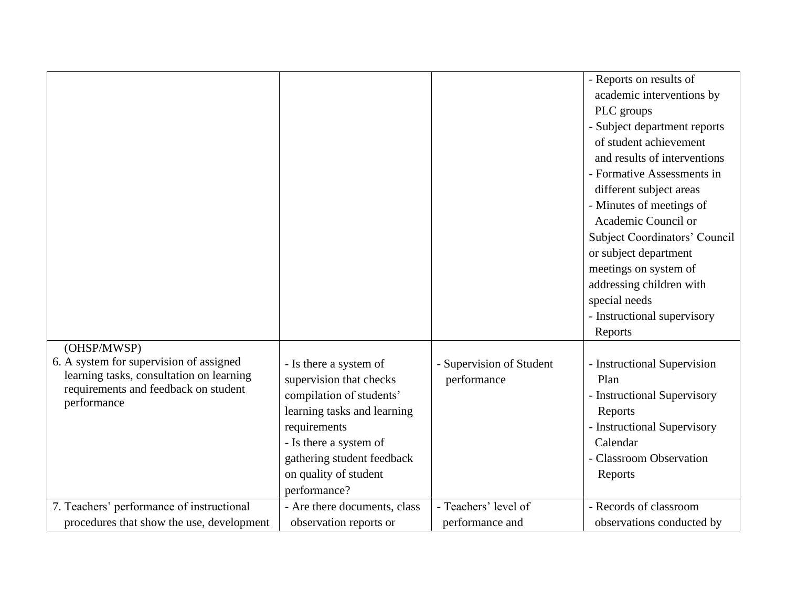|                                                     |                              |                          | - Reports on results of       |
|-----------------------------------------------------|------------------------------|--------------------------|-------------------------------|
|                                                     |                              |                          | academic interventions by     |
|                                                     |                              |                          | PLC groups                    |
|                                                     |                              |                          | - Subject department reports  |
|                                                     |                              |                          | of student achievement        |
|                                                     |                              |                          | and results of interventions  |
|                                                     |                              |                          | - Formative Assessments in    |
|                                                     |                              |                          | different subject areas       |
|                                                     |                              |                          | - Minutes of meetings of      |
|                                                     |                              |                          | Academic Council or           |
|                                                     |                              |                          | Subject Coordinators' Council |
|                                                     |                              |                          | or subject department         |
|                                                     |                              |                          | meetings on system of         |
|                                                     |                              |                          | addressing children with      |
|                                                     |                              |                          | special needs                 |
|                                                     |                              |                          | - Instructional supervisory   |
|                                                     |                              |                          | Reports                       |
| (OHSP/MWSP)                                         |                              |                          |                               |
| 6. A system for supervision of assigned             | - Is there a system of       | - Supervision of Student | - Instructional Supervision   |
| learning tasks, consultation on learning            | supervision that checks      | performance              | Plan                          |
| requirements and feedback on student<br>performance | compilation of students'     |                          | - Instructional Supervisory   |
|                                                     | learning tasks and learning  |                          | Reports                       |
|                                                     | requirements                 |                          | - Instructional Supervisory   |
|                                                     | - Is there a system of       |                          | Calendar                      |
|                                                     | gathering student feedback   |                          | - Classroom Observation       |
|                                                     | on quality of student        |                          | Reports                       |
|                                                     | performance?                 |                          |                               |
| 7. Teachers' performance of instructional           | - Are there documents, class | - Teachers' level of     | - Records of classroom        |
| procedures that show the use, development           | observation reports or       | performance and          | observations conducted by     |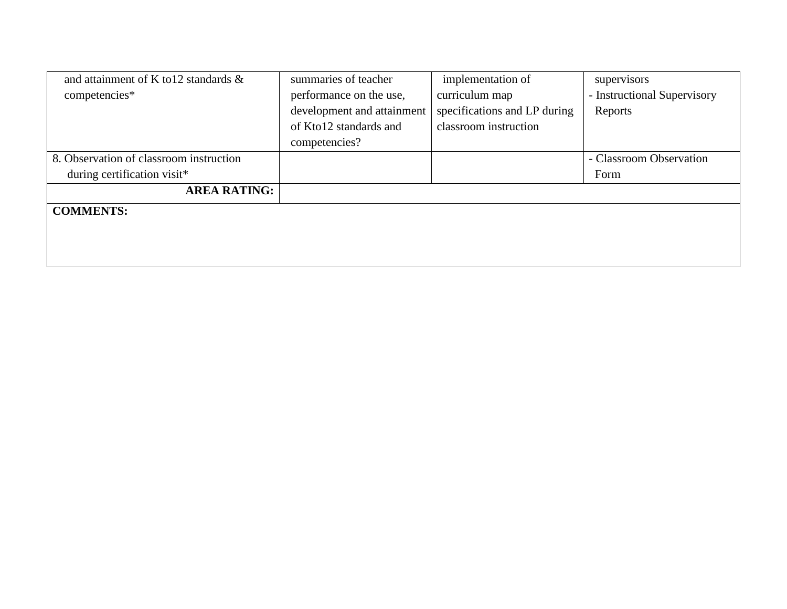| and attainment of K to 12 standards $\&$ | summaries of teacher       | implementation of            | supervisors                 |
|------------------------------------------|----------------------------|------------------------------|-----------------------------|
| competencies*                            | performance on the use,    | curriculum map               | - Instructional Supervisory |
|                                          | development and attainment | specifications and LP during | Reports                     |
|                                          | of Kto12 standards and     | classroom instruction        |                             |
|                                          | competencies?              |                              |                             |
| 8. Observation of classroom instruction  |                            |                              | - Classroom Observation     |
| during certification visit*              |                            |                              | Form                        |
| <b>AREA RATING:</b>                      |                            |                              |                             |
| <b>COMMENTS:</b>                         |                            |                              |                             |
|                                          |                            |                              |                             |
|                                          |                            |                              |                             |
|                                          |                            |                              |                             |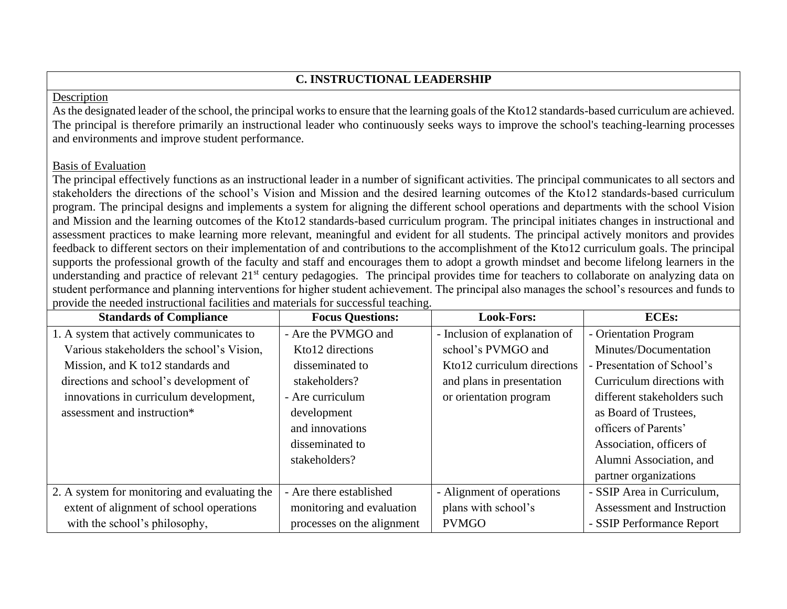# **C. INSTRUCTIONAL LEADERSHIP**

#### Description

As the designated leader of the school, the principal works to ensure that the learning goals of the Kto12 standards-based curriculum are achieved. The principal is therefore primarily an instructional leader who continuously seeks ways to improve the school's teaching-learning processes and environments and improve student performance.

## Basis of Evaluation

The principal effectively functions as an instructional leader in a number of significant activities. The principal communicates to all sectors and stakeholders the directions of the school's Vision and Mission and the desired learning outcomes of the Kto12 standards-based curriculum program. The principal designs and implements a system for aligning the different school operations and departments with the school Vision and Mission and the learning outcomes of the Kto12 standards-based curriculum program. The principal initiates changes in instructional and assessment practices to make learning more relevant, meaningful and evident for all students. The principal actively monitors and provides feedback to different sectors on their implementation of and contributions to the accomplishment of the Kto12 curriculum goals. The principal supports the professional growth of the faculty and staff and encourages them to adopt a growth mindset and become lifelong learners in the understanding and practice of relevant 21<sup>st</sup> century pedagogies. The principal provides time for teachers to collaborate on analyzing data on student performance and planning interventions for higher student achievement. The principal also manages the school's resources and funds to provide the needed instructional facilities and materials for successful teaching.

| <b>Standards of Compliance</b>                | <b>Focus Questions:</b>    | <b>Look-Fors:</b>             | <b>ECEs:</b>                |
|-----------------------------------------------|----------------------------|-------------------------------|-----------------------------|
| 1. A system that actively communicates to     | - Are the PVMGO and        | - Inclusion of explanation of | - Orientation Program       |
| Various stakeholders the school's Vision,     | Kto12 directions           | school's PVMGO and            | Minutes/Documentation       |
| Mission, and K to 12 standards and            | disseminated to            | Kto12 curriculum directions   | - Presentation of School's  |
| directions and school's development of        | stakeholders?              | and plans in presentation     | Curriculum directions with  |
| innovations in curriculum development,        | - Are curriculum           | or orientation program        | different stakeholders such |
| assessment and instruction*                   | development                |                               | as Board of Trustees,       |
|                                               | and innovations            |                               | officers of Parents'        |
|                                               | disseminated to            |                               | Association, officers of    |
|                                               | stakeholders?              |                               | Alumni Association, and     |
|                                               |                            |                               | partner organizations       |
| 2. A system for monitoring and evaluating the | - Are there established    | - Alignment of operations     | - SSIP Area in Curriculum,  |
| extent of alignment of school operations      | monitoring and evaluation  | plans with school's           | Assessment and Instruction  |
| with the school's philosophy,                 | processes on the alignment | <b>PVMGO</b>                  | - SSIP Performance Report   |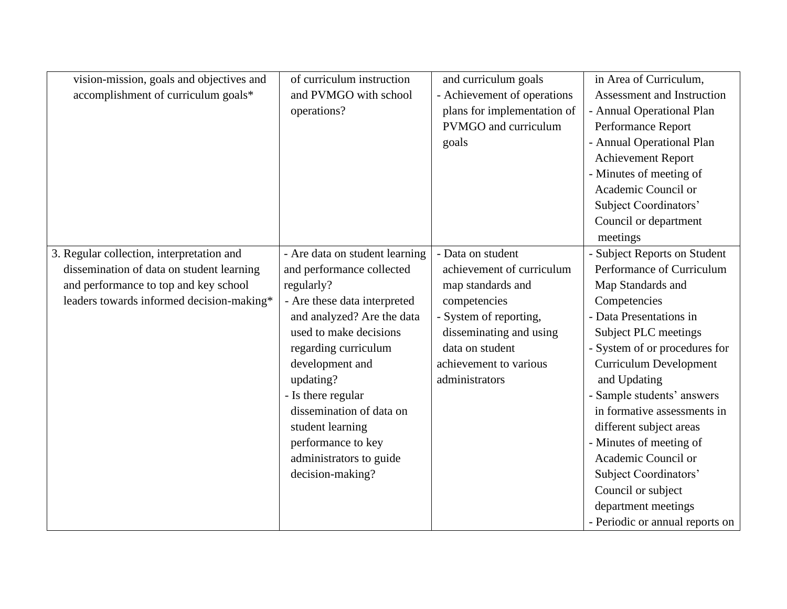| vision-mission, goals and objectives and  | of curriculum instruction      | and curriculum goals        | in Area of Curriculum,          |
|-------------------------------------------|--------------------------------|-----------------------------|---------------------------------|
| accomplishment of curriculum goals*       | and PVMGO with school          | - Achievement of operations | Assessment and Instruction      |
|                                           | operations?                    | plans for implementation of | - Annual Operational Plan       |
|                                           |                                | PVMGO and curriculum        | Performance Report              |
|                                           |                                | goals                       | - Annual Operational Plan       |
|                                           |                                |                             | Achievement Report              |
|                                           |                                |                             | - Minutes of meeting of         |
|                                           |                                |                             | Academic Council or             |
|                                           |                                |                             | Subject Coordinators'           |
|                                           |                                |                             | Council or department           |
|                                           |                                |                             | meetings                        |
| 3. Regular collection, interpretation and | - Are data on student learning | - Data on student           | - Subject Reports on Student    |
| dissemination of data on student learning | and performance collected      | achievement of curriculum   | Performance of Curriculum       |
| and performance to top and key school     | regularly?                     | map standards and           | Map Standards and               |
| leaders towards informed decision-making* | - Are these data interpreted   | competencies                | Competencies                    |
|                                           | and analyzed? Are the data     | - System of reporting,      | - Data Presentations in         |
|                                           | used to make decisions         | disseminating and using     | Subject PLC meetings            |
|                                           | regarding curriculum           | data on student             | - System of or procedures for   |
|                                           | development and                | achievement to various      | <b>Curriculum Development</b>   |
|                                           | updating?                      | administrators              | and Updating                    |
|                                           | - Is there regular             |                             | - Sample students' answers      |
|                                           | dissemination of data on       |                             | in formative assessments in     |
|                                           | student learning               |                             | different subject areas         |
|                                           | performance to key             |                             | - Minutes of meeting of         |
|                                           | administrators to guide        |                             | Academic Council or             |
|                                           | decision-making?               |                             | Subject Coordinators'           |
|                                           |                                |                             | Council or subject              |
|                                           |                                |                             | department meetings             |
|                                           |                                |                             | - Periodic or annual reports on |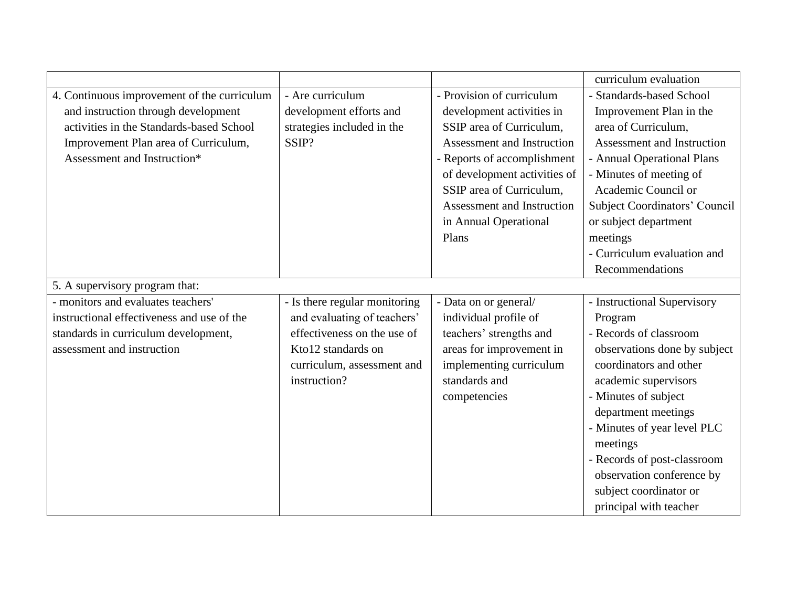|                                             |                               |                                   | curriculum evaluation                |
|---------------------------------------------|-------------------------------|-----------------------------------|--------------------------------------|
| 4. Continuous improvement of the curriculum | - Are curriculum              | - Provision of curriculum         | - Standards-based School             |
| and instruction through development         | development efforts and       | development activities in         | Improvement Plan in the              |
| activities in the Standards-based School    | strategies included in the    | SSIP area of Curriculum,          | area of Curriculum,                  |
| Improvement Plan area of Curriculum,        | SSIP?                         | <b>Assessment and Instruction</b> | Assessment and Instruction           |
| Assessment and Instruction*                 |                               | - Reports of accomplishment       | - Annual Operational Plans           |
|                                             |                               | of development activities of      | - Minutes of meeting of              |
|                                             |                               | SSIP area of Curriculum,          | Academic Council or                  |
|                                             |                               | Assessment and Instruction        | <b>Subject Coordinators' Council</b> |
|                                             |                               | in Annual Operational             | or subject department                |
|                                             |                               | Plans                             | meetings                             |
|                                             |                               |                                   | - Curriculum evaluation and          |
|                                             |                               |                                   | Recommendations                      |
| 5. A supervisory program that:              |                               |                                   |                                      |
| - monitors and evaluates teachers'          | - Is there regular monitoring | - Data on or general/             | - Instructional Supervisory          |
| instructional effectiveness and use of the  | and evaluating of teachers'   | individual profile of             | Program                              |
| standards in curriculum development,        | effectiveness on the use of   | teachers' strengths and           | - Records of classroom               |
| assessment and instruction                  | Kto12 standards on            | areas for improvement in          | observations done by subject         |
|                                             | curriculum, assessment and    | implementing curriculum           | coordinators and other               |
|                                             | instruction?                  | standards and                     | academic supervisors                 |
|                                             |                               | competencies                      | - Minutes of subject                 |
|                                             |                               |                                   | department meetings                  |
|                                             |                               |                                   | - Minutes of year level PLC          |
|                                             |                               |                                   | meetings                             |
|                                             |                               |                                   | - Records of post-classroom          |
|                                             |                               |                                   | observation conference by            |
|                                             |                               |                                   | subject coordinator or               |
|                                             |                               |                                   | principal with teacher               |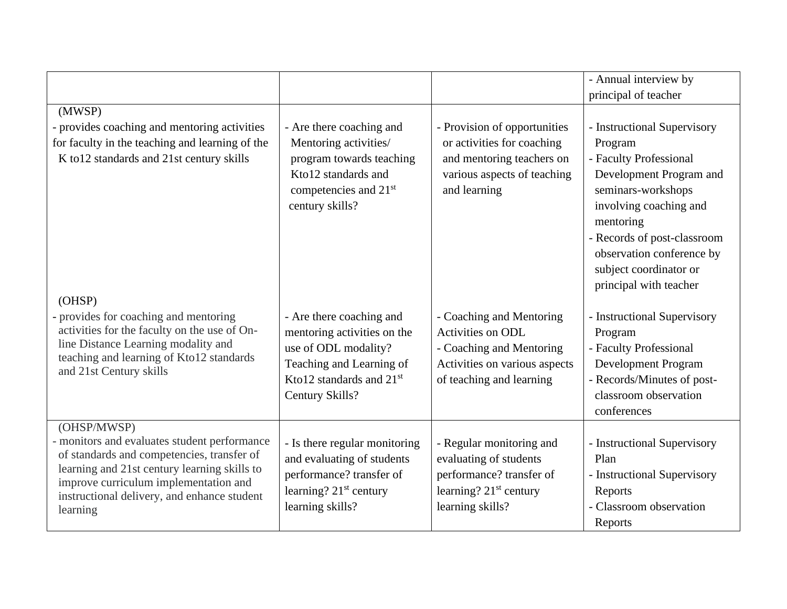|                                                                                                                                                                                                                                                               |                                                                                                                                                                        |                                                                                                                                          | - Annual interview by                                                                                                                                                                                                                                                    |
|---------------------------------------------------------------------------------------------------------------------------------------------------------------------------------------------------------------------------------------------------------------|------------------------------------------------------------------------------------------------------------------------------------------------------------------------|------------------------------------------------------------------------------------------------------------------------------------------|--------------------------------------------------------------------------------------------------------------------------------------------------------------------------------------------------------------------------------------------------------------------------|
|                                                                                                                                                                                                                                                               |                                                                                                                                                                        |                                                                                                                                          | principal of teacher                                                                                                                                                                                                                                                     |
| (MWSP)                                                                                                                                                                                                                                                        |                                                                                                                                                                        |                                                                                                                                          |                                                                                                                                                                                                                                                                          |
| provides coaching and mentoring activities<br>for faculty in the teaching and learning of the<br>K to 12 standards and 21st century skills<br>(OHSP)                                                                                                          | - Are there coaching and<br>Mentoring activities/<br>program towards teaching<br>Kto12 standards and<br>competencies and 21 <sup>st</sup><br>century skills?           | - Provision of opportunities<br>or activities for coaching<br>and mentoring teachers on<br>various aspects of teaching<br>and learning   | - Instructional Supervisory<br>Program<br>- Faculty Professional<br>Development Program and<br>seminars-workshops<br>involving coaching and<br>mentoring<br>- Records of post-classroom<br>observation conference by<br>subject coordinator or<br>principal with teacher |
| provides for coaching and mentoring<br>activities for the faculty on the use of On-<br>line Distance Learning modality and<br>teaching and learning of Kto12 standards<br>and 21st Century skills                                                             | - Are there coaching and<br>mentoring activities on the<br>use of ODL modality?<br>Teaching and Learning of<br>Kto12 standards and 21 <sup>st</sup><br>Century Skills? | - Coaching and Mentoring<br>Activities on ODL<br>- Coaching and Mentoring<br>Activities on various aspects<br>of teaching and learning   | - Instructional Supervisory<br>Program<br>- Faculty Professional<br>Development Program<br>- Records/Minutes of post-<br>classroom observation<br>conferences                                                                                                            |
| (OHSP/MWSP)<br>- monitors and evaluates student performance<br>of standards and competencies, transfer of<br>learning and 21st century learning skills to<br>improve curriculum implementation and<br>instructional delivery, and enhance student<br>learning | - Is there regular monitoring<br>and evaluating of students<br>performance? transfer of<br>learning? 21 <sup>st</sup> century<br>learning skills?                      | - Regular monitoring and<br>evaluating of students<br>performance? transfer of<br>learning? 21 <sup>st</sup> century<br>learning skills? | - Instructional Supervisory<br>Plan<br>- Instructional Supervisory<br>Reports<br>- Classroom observation<br>Reports                                                                                                                                                      |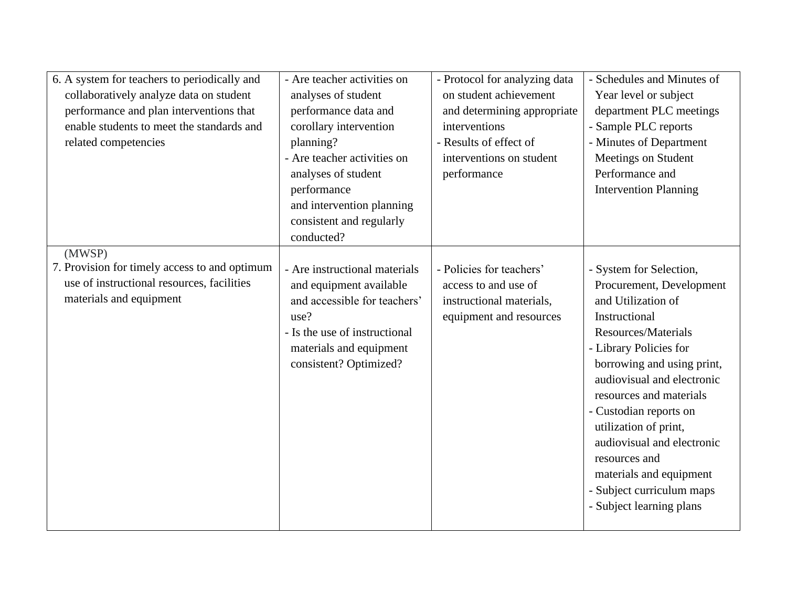| 6. A system for teachers to periodically and<br>collaboratively analyze data on student<br>performance and plan interventions that<br>enable students to meet the standards and<br>related competencies | - Are teacher activities on<br>analyses of student<br>performance data and<br>corollary intervention<br>planning?<br>- Are teacher activities on                                       | - Protocol for analyzing data<br>on student achievement<br>and determining appropriate<br>interventions<br>- Results of effect of<br>interventions on student | - Schedules and Minutes of<br>Year level or subject<br>department PLC meetings<br>- Sample PLC reports<br>- Minutes of Department<br>Meetings on Student                                                                                                                                                                                                                                                                 |
|---------------------------------------------------------------------------------------------------------------------------------------------------------------------------------------------------------|----------------------------------------------------------------------------------------------------------------------------------------------------------------------------------------|---------------------------------------------------------------------------------------------------------------------------------------------------------------|--------------------------------------------------------------------------------------------------------------------------------------------------------------------------------------------------------------------------------------------------------------------------------------------------------------------------------------------------------------------------------------------------------------------------|
|                                                                                                                                                                                                         | analyses of student<br>performance<br>and intervention planning<br>consistent and regularly<br>conducted?                                                                              | performance                                                                                                                                                   | Performance and<br><b>Intervention Planning</b>                                                                                                                                                                                                                                                                                                                                                                          |
| (MWSP)<br>7. Provision for timely access to and optimum<br>use of instructional resources, facilities<br>materials and equipment                                                                        | - Are instructional materials<br>and equipment available<br>and accessible for teachers'<br>use?<br>- Is the use of instructional<br>materials and equipment<br>consistent? Optimized? | - Policies for teachers'<br>access to and use of<br>instructional materials,<br>equipment and resources                                                       | - System for Selection,<br>Procurement, Development<br>and Utilization of<br>Instructional<br>Resources/Materials<br>- Library Policies for<br>borrowing and using print,<br>audiovisual and electronic<br>resources and materials<br>- Custodian reports on<br>utilization of print,<br>audiovisual and electronic<br>resources and<br>materials and equipment<br>- Subject curriculum maps<br>- Subject learning plans |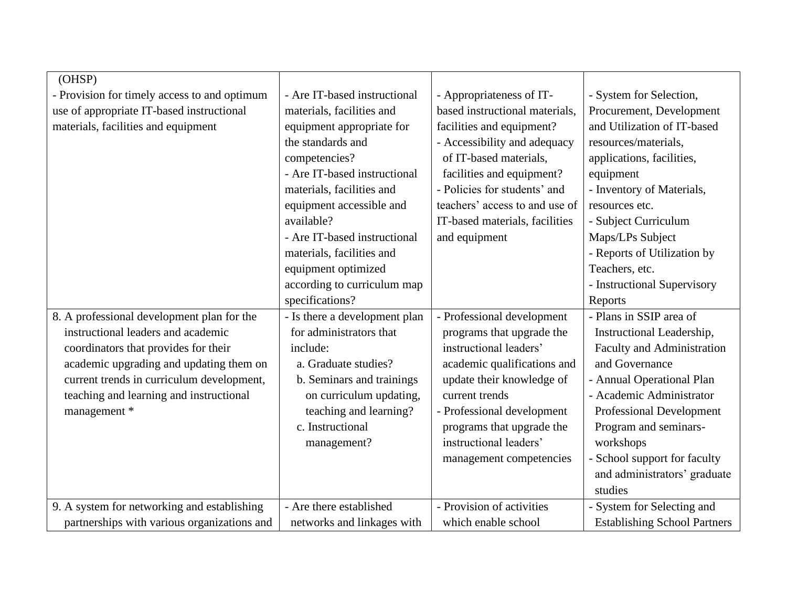| (OHSP)                                       |                               |                                |                                     |
|----------------------------------------------|-------------------------------|--------------------------------|-------------------------------------|
| - Provision for timely access to and optimum | - Are IT-based instructional  | - Appropriateness of IT-       | - System for Selection,             |
| use of appropriate IT-based instructional    | materials, facilities and     | based instructional materials, | Procurement, Development            |
| materials, facilities and equipment          | equipment appropriate for     | facilities and equipment?      | and Utilization of IT-based         |
|                                              | the standards and             | - Accessibility and adequacy   | resources/materials,                |
|                                              | competencies?                 | of IT-based materials,         | applications, facilities,           |
|                                              | - Are IT-based instructional  | facilities and equipment?      | equipment                           |
|                                              | materials, facilities and     | - Policies for students' and   | - Inventory of Materials,           |
|                                              | equipment accessible and      | teachers' access to and use of | resources etc.                      |
|                                              | available?                    | IT-based materials, facilities | - Subject Curriculum                |
|                                              | - Are IT-based instructional  | and equipment                  | Maps/LPs Subject                    |
|                                              | materials, facilities and     |                                | - Reports of Utilization by         |
|                                              | equipment optimized           |                                | Teachers, etc.                      |
|                                              | according to curriculum map   |                                | - Instructional Supervisory         |
|                                              | specifications?               |                                | Reports                             |
| 8. A professional development plan for the   | - Is there a development plan | - Professional development     | - Plans in SSIP area of             |
| instructional leaders and academic           | for administrators that       | programs that upgrade the      | Instructional Leadership,           |
| coordinators that provides for their         | include:                      | instructional leaders'         | Faculty and Administration          |
| academic upgrading and updating them on      | a. Graduate studies?          | academic qualifications and    | and Governance                      |
| current trends in curriculum development,    | b. Seminars and trainings     | update their knowledge of      | - Annual Operational Plan           |
| teaching and learning and instructional      | on curriculum updating,       | current trends                 | - Academic Administrator            |
| management *                                 | teaching and learning?        | - Professional development     | Professional Development            |
|                                              | c. Instructional              | programs that upgrade the      | Program and seminars-               |
|                                              | management?                   | instructional leaders'         | workshops                           |
|                                              |                               | management competencies        | - School support for faculty        |
|                                              |                               |                                | and administrators' graduate        |
|                                              |                               |                                | studies                             |
| 9. A system for networking and establishing  | - Are there established       | - Provision of activities      | - System for Selecting and          |
| partnerships with various organizations and  | networks and linkages with    | which enable school            | <b>Establishing School Partners</b> |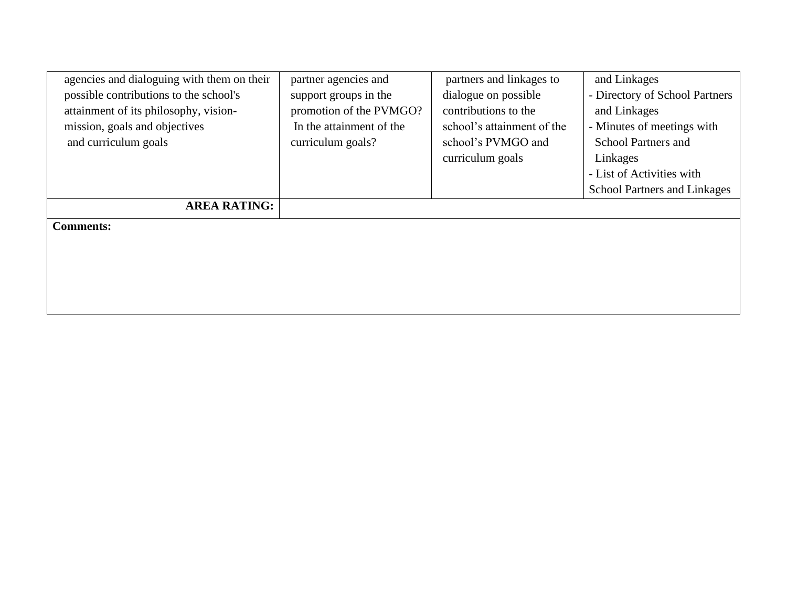| agencies and dialoguing with them on their | partner agencies and     | partners and linkages to   | and Linkages                        |
|--------------------------------------------|--------------------------|----------------------------|-------------------------------------|
| possible contributions to the school's     | support groups in the    | dialogue on possible       | - Directory of School Partners      |
| attainment of its philosophy, vision-      | promotion of the PVMGO?  | contributions to the       | and Linkages                        |
| mission, goals and objectives              | In the attainment of the | school's attainment of the | - Minutes of meetings with          |
| and curriculum goals                       | curriculum goals?        | school's PVMGO and         | <b>School Partners and</b>          |
|                                            |                          | curriculum goals           | Linkages                            |
|                                            |                          |                            | - List of Activities with           |
|                                            |                          |                            | <b>School Partners and Linkages</b> |
| <b>AREA RATING:</b>                        |                          |                            |                                     |
| <b>Comments:</b>                           |                          |                            |                                     |
|                                            |                          |                            |                                     |
|                                            |                          |                            |                                     |
|                                            |                          |                            |                                     |
|                                            |                          |                            |                                     |
|                                            |                          |                            |                                     |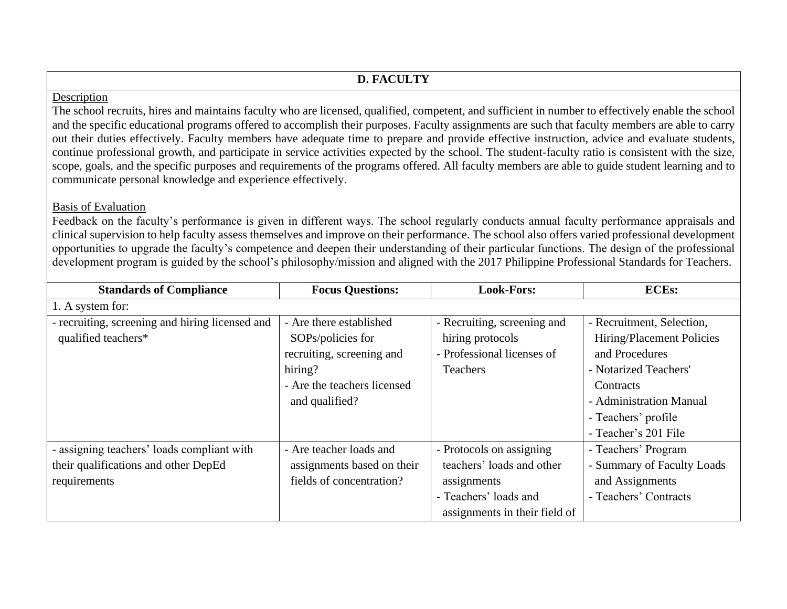# **D. FACULTY**

#### Description

The school recruits, hires and maintains faculty who are licensed, qualified, competent, and sufficient in number to effectively enable the school and the specific educational programs offered to accomplish their purposes. Faculty assignments are such that faculty members are able to carry out their duties effectively. Faculty members have adequate time to prepare and provide effective instruction, advice and evaluate students, continue professional growth, and participate in service activities expected by the school. The student-faculty ratio is consistent with the size, scope, goals, and the specific purposes and requirements of the programs offered. All faculty members are able to guide student learning and to communicate personal knowledge and experience effectively.

#### Basis of Evaluation

Feedback on the faculty's performance is given in different ways. The school regularly conducts annual faculty performance appraisals and clinical supervision to help faculty assess themselves and improve on their performance. The school also offers varied professional development opportunities to upgrade the faculty's competence and deepen their understanding of their particular functions. The design of the professional development program is guided by the school's philosophy/mission and aligned with the 2017 Philippine Professional Standards for Teachers.

| <b>Standards of Compliance</b>                  | <b>Focus Questions:</b>     | <b>Look-Fors:</b>             | <b>ECEs:</b>               |
|-------------------------------------------------|-----------------------------|-------------------------------|----------------------------|
| 1. A system for:                                |                             |                               |                            |
| - recruiting, screening and hiring licensed and | - Are there established     | - Recruiting, screening and   | - Recruitment, Selection,  |
| qualified teachers*                             | SOPs/policies for           | hiring protocols              | Hiring/Placement Policies  |
|                                                 | recruiting, screening and   | - Professional licenses of    | and Procedures             |
|                                                 | hiring?                     | <b>Teachers</b>               | - Notarized Teachers'      |
|                                                 | - Are the teachers licensed |                               | Contracts                  |
|                                                 | and qualified?              |                               | - Administration Manual    |
|                                                 |                             |                               | - Teachers' profile        |
|                                                 |                             |                               | - Teacher's 201 File       |
| - assigning teachers' loads compliant with      | - Are teacher loads and     | - Protocols on assigning      | - Teachers' Program        |
| their qualifications and other DepEd            | assignments based on their  | teachers' loads and other     | - Summary of Faculty Loads |
| requirements                                    | fields of concentration?    | assignments                   | and Assignments            |
|                                                 |                             | - Teachers' loads and         | - Teachers' Contracts      |
|                                                 |                             | assignments in their field of |                            |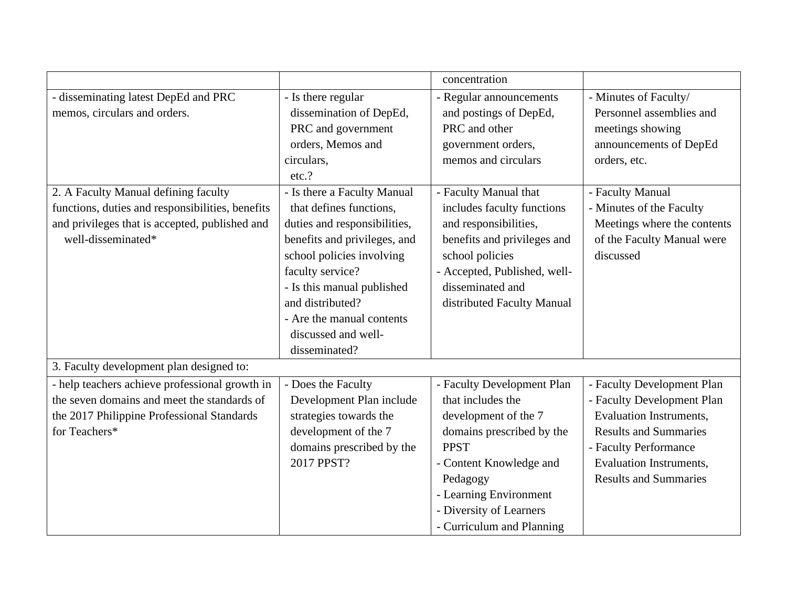|                                                  |                              | concentration                |                                |
|--------------------------------------------------|------------------------------|------------------------------|--------------------------------|
| - disseminating latest DepEd and PRC             | - Is there regular           | - Regular announcements      | - Minutes of Faculty/          |
| memos, circulars and orders.                     | dissemination of DepEd,      | and postings of DepEd,       | Personnel assemblies and       |
|                                                  | PRC and government           | PRC and other                | meetings showing               |
|                                                  | orders, Memos and            | government orders,           | announcements of DepEd         |
|                                                  | circulars,                   | memos and circulars          | orders, etc.                   |
|                                                  | etc.?                        |                              |                                |
| 2. A Faculty Manual defining faculty             | - Is there a Faculty Manual  | - Faculty Manual that        | - Faculty Manual               |
| functions, duties and responsibilities, benefits | that defines functions,      | includes faculty functions   | - Minutes of the Faculty       |
| and privileges that is accepted, published and   | duties and responsibilities, | and responsibilities,        | Meetings where the contents    |
| well-disseminated*                               | benefits and privileges, and | benefits and privileges and  | of the Faculty Manual were     |
|                                                  | school policies involving    | school policies              | discussed                      |
|                                                  | faculty service?             | - Accepted, Published, well- |                                |
|                                                  | - Is this manual published   | disseminated and             |                                |
|                                                  | and distributed?             | distributed Faculty Manual   |                                |
|                                                  | - Are the manual contents    |                              |                                |
|                                                  | discussed and well-          |                              |                                |
|                                                  | disseminated?                |                              |                                |
| 3. Faculty development plan designed to:         |                              |                              |                                |
| - help teachers achieve professional growth in   | - Does the Faculty           | - Faculty Development Plan   | - Faculty Development Plan     |
| the seven domains and meet the standards of      | Development Plan include     | that includes the            | - Faculty Development Plan     |
| the 2017 Philippine Professional Standards       | strategies towards the       | development of the 7         | <b>Evaluation Instruments,</b> |
| for Teachers*                                    | development of the 7         | domains prescribed by the    | <b>Results and Summaries</b>   |
|                                                  | domains prescribed by the    | <b>PPST</b>                  | - Faculty Performance          |
|                                                  | 2017 PPST?                   | - Content Knowledge and      | <b>Evaluation Instruments,</b> |
|                                                  |                              | Pedagogy                     | <b>Results and Summaries</b>   |
|                                                  |                              | - Learning Environment       |                                |
|                                                  |                              | - Diversity of Learners      |                                |
|                                                  |                              | - Curriculum and Planning    |                                |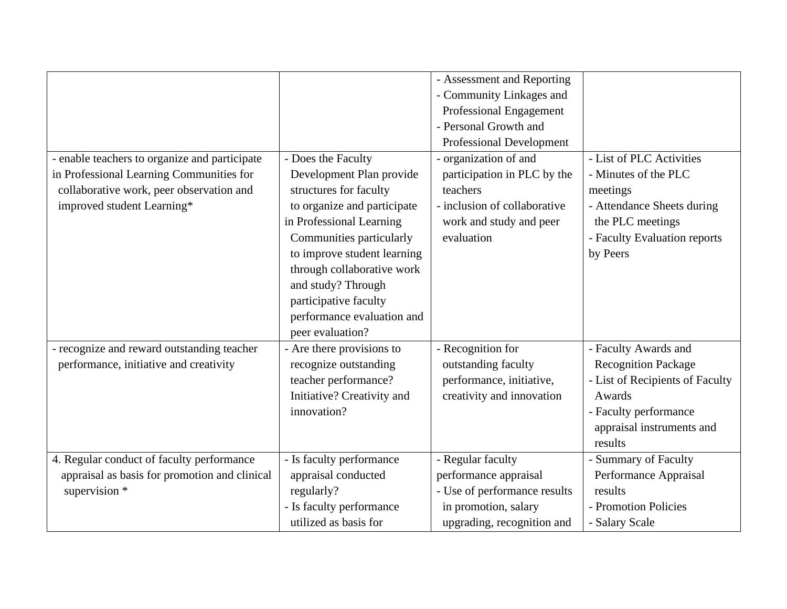|                                               |                             | - Assessment and Reporting      |                                 |
|-----------------------------------------------|-----------------------------|---------------------------------|---------------------------------|
|                                               |                             | - Community Linkages and        |                                 |
|                                               |                             | Professional Engagement         |                                 |
|                                               |                             | - Personal Growth and           |                                 |
|                                               |                             | <b>Professional Development</b> |                                 |
| - enable teachers to organize and participate | - Does the Faculty          | - organization of and           | - List of PLC Activities        |
| in Professional Learning Communities for      | Development Plan provide    | participation in PLC by the     | - Minutes of the PLC            |
| collaborative work, peer observation and      | structures for faculty      | teachers                        | meetings                        |
| improved student Learning*                    | to organize and participate | - inclusion of collaborative    | - Attendance Sheets during      |
|                                               | in Professional Learning    | work and study and peer         | the PLC meetings                |
|                                               | Communities particularly    | evaluation                      | - Faculty Evaluation reports    |
|                                               | to improve student learning |                                 | by Peers                        |
|                                               | through collaborative work  |                                 |                                 |
|                                               | and study? Through          |                                 |                                 |
|                                               | participative faculty       |                                 |                                 |
|                                               | performance evaluation and  |                                 |                                 |
|                                               | peer evaluation?            |                                 |                                 |
| - recognize and reward outstanding teacher    | - Are there provisions to   | - Recognition for               | - Faculty Awards and            |
| performance, initiative and creativity        | recognize outstanding       | outstanding faculty             | <b>Recognition Package</b>      |
|                                               | teacher performance?        | performance, initiative,        | - List of Recipients of Faculty |
|                                               | Initiative? Creativity and  | creativity and innovation       | Awards                          |
|                                               | innovation?                 |                                 | - Faculty performance           |
|                                               |                             |                                 | appraisal instruments and       |
|                                               |                             |                                 | results                         |
| 4. Regular conduct of faculty performance     | - Is faculty performance    | - Regular faculty               | - Summary of Faculty            |
| appraisal as basis for promotion and clinical | appraisal conducted         | performance appraisal           | Performance Appraisal           |
| supervision *                                 | regularly?                  | - Use of performance results    | results                         |
|                                               | - Is faculty performance    | in promotion, salary            | - Promotion Policies            |
|                                               | utilized as basis for       | upgrading, recognition and      | - Salary Scale                  |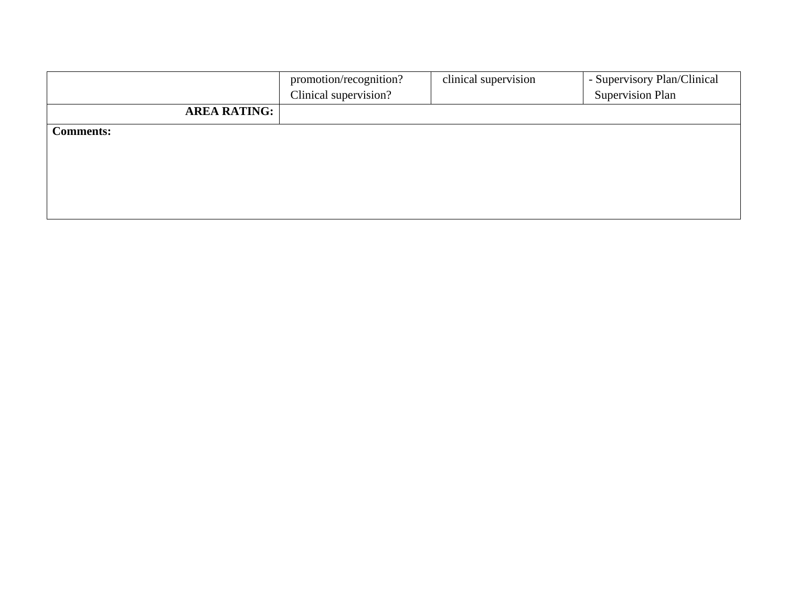|                     | promotion/recognition? | clinical supervision | - Supervisory Plan/Clinical |
|---------------------|------------------------|----------------------|-----------------------------|
|                     | Clinical supervision?  |                      | <b>Supervision Plan</b>     |
| <b>AREA RATING:</b> |                        |                      |                             |
| <b>Comments:</b>    |                        |                      |                             |
|                     |                        |                      |                             |
|                     |                        |                      |                             |
|                     |                        |                      |                             |
|                     |                        |                      |                             |
|                     |                        |                      |                             |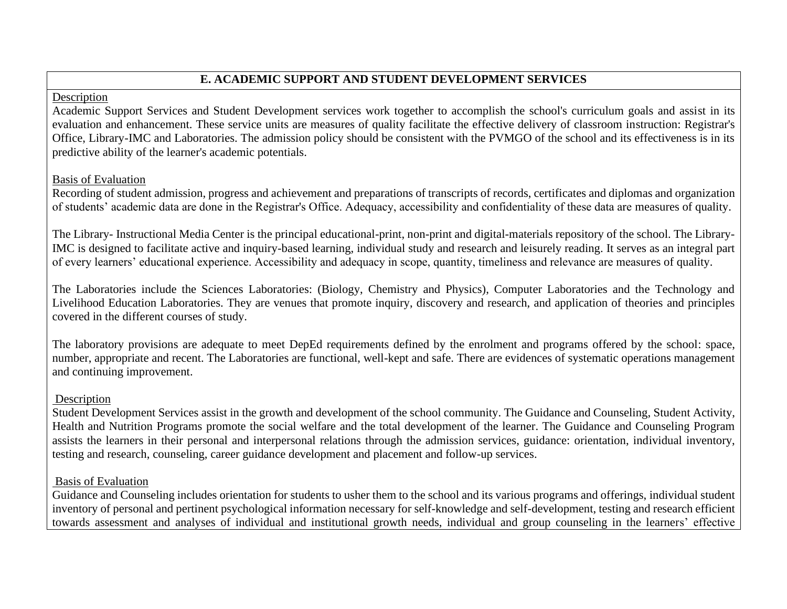## **E. ACADEMIC SUPPORT AND STUDENT DEVELOPMENT SERVICES**

#### Description

Academic Support Services and Student Development services work together to accomplish the school's curriculum goals and assist in its evaluation and enhancement. These service units are measures of quality facilitate the effective delivery of classroom instruction: Registrar's Office, Library-IMC and Laboratories. The admission policy should be consistent with the PVMGO of the school and its effectiveness is in its predictive ability of the learner's academic potentials.

#### Basis of Evaluation

Recording of student admission, progress and achievement and preparations of transcripts of records, certificates and diplomas and organization of students' academic data are done in the Registrar's Office. Adequacy, accessibility and confidentiality of these data are measures of quality.

The Library- Instructional Media Center is the principal educational-print, non-print and digital-materials repository of the school. The Library-IMC is designed to facilitate active and inquiry-based learning, individual study and research and leisurely reading. It serves as an integral part of every learners' educational experience. Accessibility and adequacy in scope, quantity, timeliness and relevance are measures of quality.

The Laboratories include the Sciences Laboratories: (Biology, Chemistry and Physics), Computer Laboratories and the Technology and Livelihood Education Laboratories. They are venues that promote inquiry, discovery and research, and application of theories and principles covered in the different courses of study.

The laboratory provisions are adequate to meet DepEd requirements defined by the enrolment and programs offered by the school: space, number, appropriate and recent. The Laboratories are functional, well-kept and safe. There are evidences of systematic operations management and continuing improvement.

### **Description**

Student Development Services assist in the growth and development of the school community. The Guidance and Counseling, Student Activity, Health and Nutrition Programs promote the social welfare and the total development of the learner. The Guidance and Counseling Program assists the learners in their personal and interpersonal relations through the admission services, guidance: orientation, individual inventory, testing and research, counseling, career guidance development and placement and follow-up services.

### Basis of Evaluation

Guidance and Counseling includes orientation for students to usher them to the school and its various programs and offerings, individual student inventory of personal and pertinent psychological information necessary for self-knowledge and self-development, testing and research efficient towards assessment and analyses of individual and institutional growth needs, individual and group counseling in the learners' effective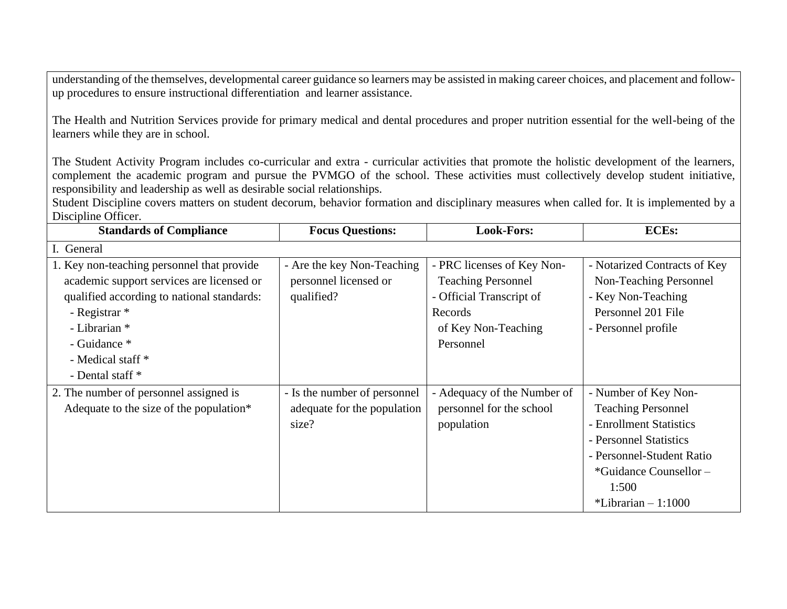understanding of the themselves, developmental career guidance so learners may be assisted in making career choices, and placement and followup procedures to ensure instructional differentiation and learner assistance.

The Health and Nutrition Services provide for primary medical and dental procedures and proper nutrition essential for the well-being of the learners while they are in school.

The Student Activity Program includes co-curricular and extra - curricular activities that promote the holistic development of the learners, complement the academic program and pursue the PVMGO of the school. These activities must collectively develop student initiative, responsibility and leadership as well as desirable social relationships.

Student Discipline covers matters on student decorum, behavior formation and disciplinary measures when called for. It is implemented by a Discipline Officer.

| <b>Standards of Compliance</b>             | <b>Focus Questions:</b>      | <b>Look-Fors:</b>           | <b>ECEs:</b>                 |
|--------------------------------------------|------------------------------|-----------------------------|------------------------------|
| I. General                                 |                              |                             |                              |
| 1. Key non-teaching personnel that provide | - Are the key Non-Teaching   | - PRC licenses of Key Non-  | - Notarized Contracts of Key |
| academic support services are licensed or  | personnel licensed or        | <b>Teaching Personnel</b>   | Non-Teaching Personnel       |
| qualified according to national standards: | qualified?                   | - Official Transcript of    | - Key Non-Teaching           |
| - Registrar *                              |                              | Records                     | Personnel 201 File           |
| - Librarian *                              |                              | of Key Non-Teaching         | - Personnel profile          |
| - Guidance *                               |                              | Personnel                   |                              |
| - Medical staff *                          |                              |                             |                              |
| - Dental staff *                           |                              |                             |                              |
| 2. The number of personnel assigned is     | - Is the number of personnel | - Adequacy of the Number of | - Number of Key Non-         |
| Adequate to the size of the population*    | adequate for the population  | personnel for the school    | <b>Teaching Personnel</b>    |
|                                            | size?                        | population                  | - Enrollment Statistics      |
|                                            |                              |                             | - Personnel Statistics       |
|                                            |                              |                             | - Personnel-Student Ratio    |
|                                            |                              |                             | *Guidance Counsellor –       |
|                                            |                              |                             | 1:500                        |
|                                            |                              |                             | *Librarian $-1:1000$         |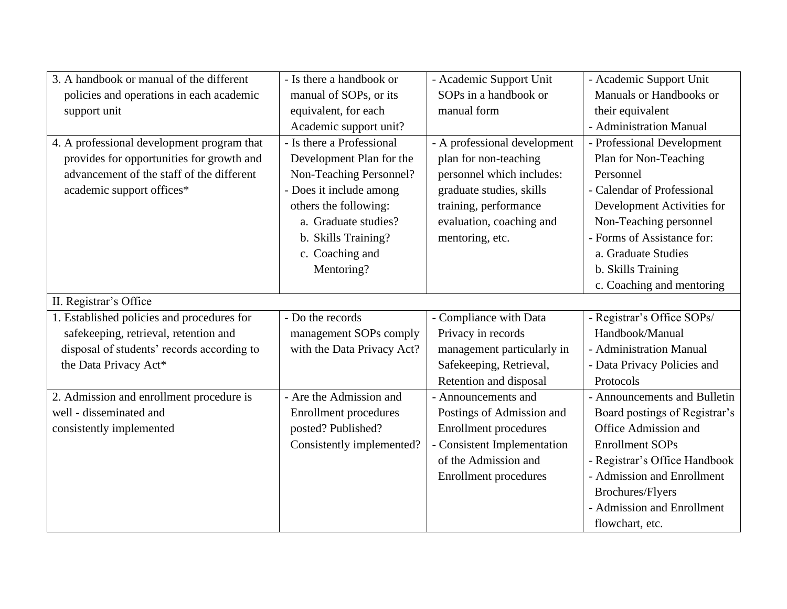| 3. A handbook or manual of the different   | - Is there a handbook or     | - Academic Support Unit      | - Academic Support Unit       |
|--------------------------------------------|------------------------------|------------------------------|-------------------------------|
| policies and operations in each academic   | manual of SOPs, or its       | SOPs in a handbook or        | Manuals or Handbooks or       |
| support unit                               | equivalent, for each         | manual form                  | their equivalent              |
|                                            | Academic support unit?       |                              | - Administration Manual       |
| 4. A professional development program that | - Is there a Professional    | - A professional development | - Professional Development    |
| provides for opportunities for growth and  | Development Plan for the     | plan for non-teaching        | Plan for Non-Teaching         |
| advancement of the staff of the different  | Non-Teaching Personnel?      | personnel which includes:    | Personnel                     |
| academic support offices*                  | - Does it include among      | graduate studies, skills     | - Calendar of Professional    |
|                                            | others the following:        | training, performance        | Development Activities for    |
|                                            | a. Graduate studies?         | evaluation, coaching and     | Non-Teaching personnel        |
|                                            | b. Skills Training?          | mentoring, etc.              | - Forms of Assistance for:    |
|                                            | c. Coaching and              |                              | a. Graduate Studies           |
|                                            | Mentoring?                   |                              | b. Skills Training            |
|                                            |                              |                              | c. Coaching and mentoring     |
| II. Registrar's Office                     |                              |                              |                               |
| 1. Established policies and procedures for | - Do the records             | - Compliance with Data       | - Registrar's Office SOPs/    |
| safekeeping, retrieval, retention and      | management SOPs comply       | Privacy in records           | Handbook/Manual               |
| disposal of students' records according to | with the Data Privacy Act?   | management particularly in   | - Administration Manual       |
| the Data Privacy Act*                      |                              | Safekeeping, Retrieval,      | - Data Privacy Policies and   |
|                                            |                              | Retention and disposal       | Protocols                     |
| 2. Admission and enrollment procedure is   | - Are the Admission and      | - Announcements and          | - Announcements and Bulletin  |
| well - disseminated and                    | <b>Enrollment</b> procedures | Postings of Admission and    | Board postings of Registrar's |
| consistently implemented                   | posted? Published?           | Enrollment procedures        | Office Admission and          |
|                                            | Consistently implemented?    | - Consistent Implementation  | <b>Enrollment SOPs</b>        |
|                                            |                              | of the Admission and         | - Registrar's Office Handbook |
|                                            |                              | <b>Enrollment</b> procedures | - Admission and Enrollment    |
|                                            |                              |                              | Brochures/Flyers              |
|                                            |                              |                              | - Admission and Enrollment    |
|                                            |                              |                              | flowchart, etc.               |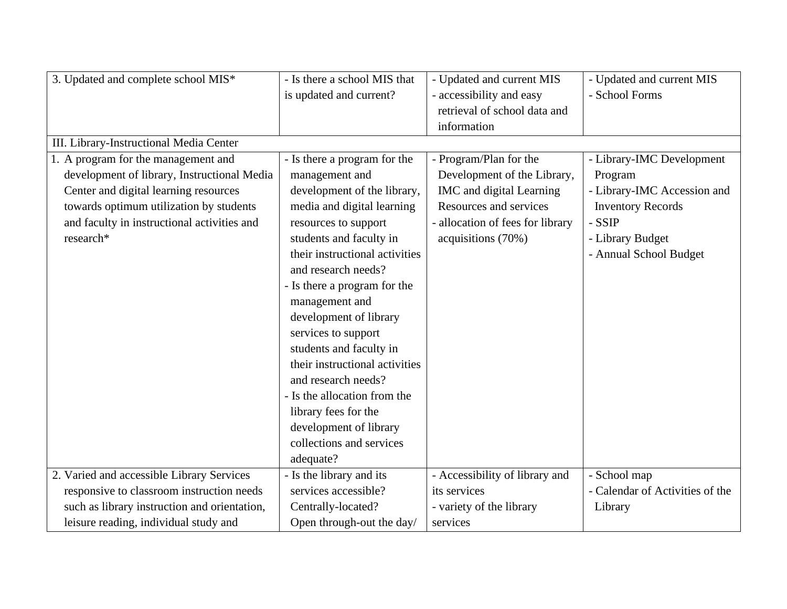| 3. Updated and complete school MIS*          | - Is there a school MIS that   | - Updated and current MIS        | - Updated and current MIS       |
|----------------------------------------------|--------------------------------|----------------------------------|---------------------------------|
|                                              | is updated and current?        | - accessibility and easy         | - School Forms                  |
|                                              |                                | retrieval of school data and     |                                 |
|                                              |                                | information                      |                                 |
| III. Library-Instructional Media Center      |                                |                                  |                                 |
| 1. A program for the management and          | - Is there a program for the   | - Program/Plan for the           | - Library-IMC Development       |
| development of library, Instructional Media  | management and                 | Development of the Library,      | Program                         |
| Center and digital learning resources        | development of the library,    | IMC and digital Learning         | - Library-IMC Accession and     |
| towards optimum utilization by students      | media and digital learning     | Resources and services           | <b>Inventory Records</b>        |
| and faculty in instructional activities and  | resources to support           | - allocation of fees for library | - SSIP                          |
| research*                                    | students and faculty in        | acquisitions (70%)               | - Library Budget                |
|                                              | their instructional activities |                                  | - Annual School Budget          |
|                                              | and research needs?            |                                  |                                 |
|                                              | - Is there a program for the   |                                  |                                 |
|                                              | management and                 |                                  |                                 |
|                                              | development of library         |                                  |                                 |
|                                              | services to support            |                                  |                                 |
|                                              | students and faculty in        |                                  |                                 |
|                                              | their instructional activities |                                  |                                 |
|                                              | and research needs?            |                                  |                                 |
|                                              | - Is the allocation from the   |                                  |                                 |
|                                              | library fees for the           |                                  |                                 |
|                                              | development of library         |                                  |                                 |
|                                              | collections and services       |                                  |                                 |
|                                              | adequate?                      |                                  |                                 |
| 2. Varied and accessible Library Services    | - Is the library and its       | - Accessibility of library and   | - School map                    |
| responsive to classroom instruction needs    | services accessible?           | its services                     | - Calendar of Activities of the |
| such as library instruction and orientation, | Centrally-located?             | - variety of the library         | Library                         |
| leisure reading, individual study and        | Open through-out the day/      | services                         |                                 |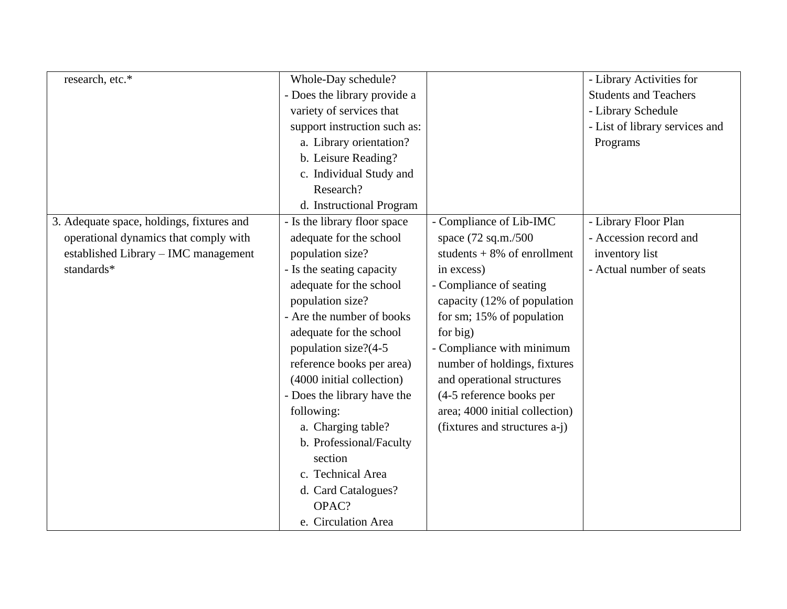| research, etc.*                           | Whole-Day schedule?          |                                | - Library Activities for       |
|-------------------------------------------|------------------------------|--------------------------------|--------------------------------|
|                                           | - Does the library provide a |                                | <b>Students and Teachers</b>   |
|                                           | variety of services that     |                                | - Library Schedule             |
|                                           | support instruction such as: |                                | - List of library services and |
|                                           | a. Library orientation?      |                                | Programs                       |
|                                           | b. Leisure Reading?          |                                |                                |
|                                           | c. Individual Study and      |                                |                                |
|                                           | Research?                    |                                |                                |
|                                           | d. Instructional Program     |                                |                                |
| 3. Adequate space, holdings, fixtures and | - Is the library floor space | - Compliance of Lib-IMC        | - Library Floor Plan           |
| operational dynamics that comply with     | adequate for the school      | space (72 sq.m./500            | - Accession record and         |
| established Library - IMC management      | population size?             | students $+8\%$ of enrollment  | inventory list                 |
| standards*                                | - Is the seating capacity    | in excess)                     | - Actual number of seats       |
|                                           | adequate for the school      | - Compliance of seating        |                                |
|                                           | population size?             | capacity (12% of population    |                                |
|                                           | - Are the number of books    | for sm; 15% of population      |                                |
|                                           | adequate for the school      | for big)                       |                                |
|                                           | population size?(4-5         | - Compliance with minimum      |                                |
|                                           | reference books per area)    | number of holdings, fixtures   |                                |
|                                           | (4000 initial collection)    | and operational structures     |                                |
|                                           | - Does the library have the  | (4-5 reference books per       |                                |
|                                           | following:                   | area; 4000 initial collection) |                                |
|                                           | a. Charging table?           | (fixtures and structures a-j)  |                                |
|                                           | b. Professional/Faculty      |                                |                                |
|                                           | section                      |                                |                                |
|                                           | c. Technical Area            |                                |                                |
|                                           | d. Card Catalogues?          |                                |                                |
|                                           | OPAC?                        |                                |                                |
|                                           | e. Circulation Area          |                                |                                |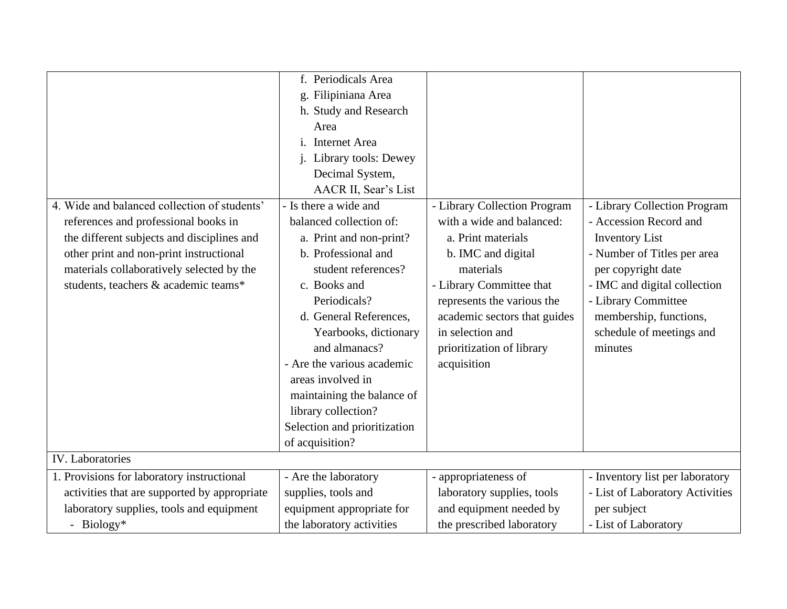|                                              | f. Periodicals Area                    |                              |                                 |
|----------------------------------------------|----------------------------------------|------------------------------|---------------------------------|
|                                              | g. Filipiniana Area                    |                              |                                 |
|                                              | h. Study and Research                  |                              |                                 |
|                                              | Area                                   |                              |                                 |
|                                              | $\mathbf{i}$ .<br><b>Internet Area</b> |                              |                                 |
|                                              | j. Library tools: Dewey                |                              |                                 |
|                                              | Decimal System,                        |                              |                                 |
|                                              | AACR II, Sear's List                   |                              |                                 |
| 4. Wide and balanced collection of students' | - Is there a wide and                  | - Library Collection Program | - Library Collection Program    |
| references and professional books in         | balanced collection of:                | with a wide and balanced:    | - Accession Record and          |
| the different subjects and disciplines and   | a. Print and non-print?                | a. Print materials           | <b>Inventory List</b>           |
| other print and non-print instructional      | b. Professional and                    | b. IMC and digital           | - Number of Titles per area     |
| materials collaboratively selected by the    | student references?                    | materials                    | per copyright date              |
| students, teachers & academic teams*         | c. Books and                           | - Library Committee that     | - IMC and digital collection    |
|                                              | Periodicals?                           | represents the various the   | - Library Committee             |
|                                              | d. General References,                 | academic sectors that guides | membership, functions,          |
|                                              | Yearbooks, dictionary                  | in selection and             | schedule of meetings and        |
|                                              | and almanacs?                          | prioritization of library    | minutes                         |
|                                              | - Are the various academic             | acquisition                  |                                 |
|                                              | areas involved in                      |                              |                                 |
|                                              | maintaining the balance of             |                              |                                 |
|                                              | library collection?                    |                              |                                 |
|                                              | Selection and prioritization           |                              |                                 |
|                                              | of acquisition?                        |                              |                                 |
| <b>IV.</b> Laboratories                      |                                        |                              |                                 |
| 1. Provisions for laboratory instructional   | - Are the laboratory                   | - appropriateness of         | - Inventory list per laboratory |
| activities that are supported by appropriate | supplies, tools and                    | laboratory supplies, tools   | - List of Laboratory Activities |
| laboratory supplies, tools and equipment     | equipment appropriate for              | and equipment needed by      | per subject                     |
| - Biology*                                   | the laboratory activities              | the prescribed laboratory    | - List of Laboratory            |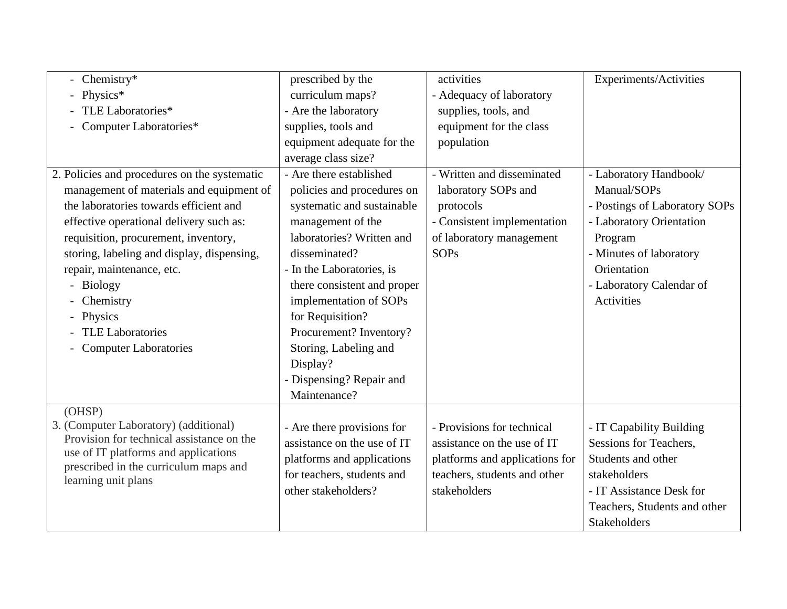| Chemistry*                                                                    | prescribed by the           | activities                     | Experiments/Activities        |
|-------------------------------------------------------------------------------|-----------------------------|--------------------------------|-------------------------------|
| Physics*                                                                      | curriculum maps?            | - Adequacy of laboratory       |                               |
| TLE Laboratories*                                                             | - Are the laboratory        | supplies, tools, and           |                               |
| Computer Laboratories*                                                        | supplies, tools and         | equipment for the class        |                               |
|                                                                               | equipment adequate for the  | population                     |                               |
|                                                                               | average class size?         |                                |                               |
| 2. Policies and procedures on the systematic                                  | - Are there established     | - Written and disseminated     | - Laboratory Handbook/        |
| management of materials and equipment of                                      | policies and procedures on  | laboratory SOPs and            | Manual/SOPs                   |
| the laboratories towards efficient and                                        | systematic and sustainable  | protocols                      | - Postings of Laboratory SOPs |
| effective operational delivery such as:                                       | management of the           | - Consistent implementation    | - Laboratory Orientation      |
| requisition, procurement, inventory,                                          | laboratories? Written and   | of laboratory management       | Program                       |
| storing, labeling and display, dispensing,                                    | disseminated?               | <b>SOPs</b>                    | - Minutes of laboratory       |
| repair, maintenance, etc.                                                     | - In the Laboratories, is   |                                | Orientation                   |
| - Biology                                                                     | there consistent and proper |                                | - Laboratory Calendar of      |
| Chemistry                                                                     | implementation of SOPs      |                                | Activities                    |
| Physics<br>$\overline{\phantom{0}}$                                           | for Requisition?            |                                |                               |
| <b>TLE Laboratories</b>                                                       | Procurement? Inventory?     |                                |                               |
| <b>Computer Laboratories</b>                                                  | Storing, Labeling and       |                                |                               |
|                                                                               | Display?                    |                                |                               |
|                                                                               | - Dispensing? Repair and    |                                |                               |
|                                                                               | Maintenance?                |                                |                               |
| (OHSP)                                                                        |                             |                                |                               |
| 3. (Computer Laboratory) (additional)                                         | - Are there provisions for  | - Provisions for technical     | - IT Capability Building      |
| Provision for technical assistance on the                                     | assistance on the use of IT | assistance on the use of IT    | Sessions for Teachers,        |
| use of IT platforms and applications<br>prescribed in the curriculum maps and | platforms and applications  | platforms and applications for | Students and other            |
| learning unit plans                                                           | for teachers, students and  | teachers, students and other   | stakeholders                  |
|                                                                               | other stakeholders?         | stakeholders                   | - IT Assistance Desk for      |
|                                                                               |                             |                                | Teachers, Students and other  |
|                                                                               |                             |                                | <b>Stakeholders</b>           |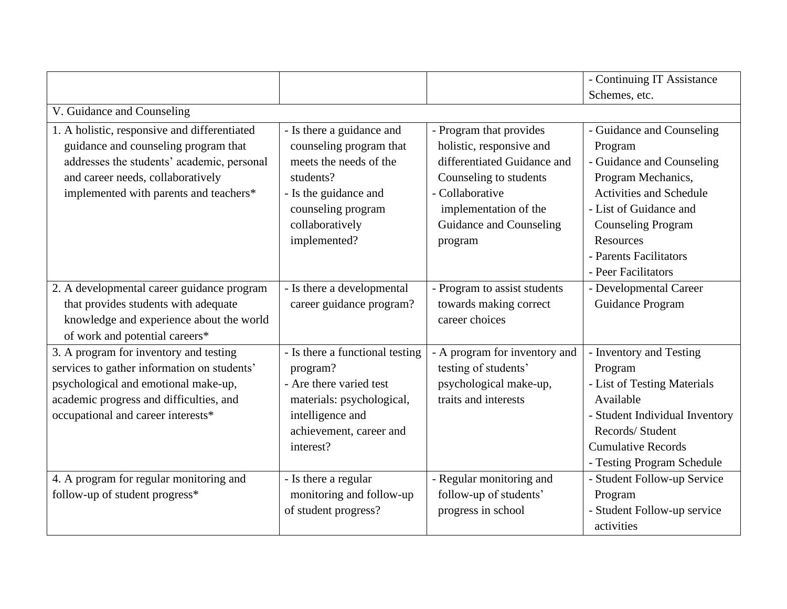|                                                                                                                                                                                                                   |                                                                                                                                                                               |                                                                                                                                                                                                | - Continuing IT Assistance                                                                                                                                                                                                                            |
|-------------------------------------------------------------------------------------------------------------------------------------------------------------------------------------------------------------------|-------------------------------------------------------------------------------------------------------------------------------------------------------------------------------|------------------------------------------------------------------------------------------------------------------------------------------------------------------------------------------------|-------------------------------------------------------------------------------------------------------------------------------------------------------------------------------------------------------------------------------------------------------|
|                                                                                                                                                                                                                   |                                                                                                                                                                               |                                                                                                                                                                                                | Schemes, etc.                                                                                                                                                                                                                                         |
| V. Guidance and Counseling                                                                                                                                                                                        |                                                                                                                                                                               |                                                                                                                                                                                                |                                                                                                                                                                                                                                                       |
| 1. A holistic, responsive and differentiated<br>guidance and counseling program that<br>addresses the students' academic, personal<br>and career needs, collaboratively<br>implemented with parents and teachers* | - Is there a guidance and<br>counseling program that<br>meets the needs of the<br>students?<br>- Is the guidance and<br>counseling program<br>collaboratively<br>implemented? | - Program that provides<br>holistic, responsive and<br>differentiated Guidance and<br>Counseling to students<br>- Collaborative<br>implementation of the<br>Guidance and Counseling<br>program | - Guidance and Counseling<br>Program<br>- Guidance and Counseling<br>Program Mechanics,<br><b>Activities and Schedule</b><br>- List of Guidance and<br><b>Counseling Program</b><br><b>Resources</b><br>- Parents Facilitators<br>- Peer Facilitators |
| 2. A developmental career guidance program<br>that provides students with adequate<br>knowledge and experience about the world<br>of work and potential careers*                                                  | - Is there a developmental<br>career guidance program?                                                                                                                        | - Program to assist students<br>towards making correct<br>career choices                                                                                                                       | - Developmental Career<br>Guidance Program                                                                                                                                                                                                            |
| 3. A program for inventory and testing<br>services to gather information on students'<br>psychological and emotional make-up,<br>academic progress and difficulties, and<br>occupational and career interests*    | - Is there a functional testing<br>program?<br>- Are there varied test<br>materials: psychological,<br>intelligence and<br>achievement, career and<br>interest?               | - A program for inventory and<br>testing of students'<br>psychological make-up,<br>traits and interests                                                                                        | - Inventory and Testing<br>Program<br>- List of Testing Materials<br>Available<br>- Student Individual Inventory<br>Records/ Student<br><b>Cumulative Records</b><br>- Testing Program Schedule                                                       |
| 4. A program for regular monitoring and<br>follow-up of student progress*                                                                                                                                         | - Is there a regular<br>monitoring and follow-up<br>of student progress?                                                                                                      | - Regular monitoring and<br>follow-up of students'<br>progress in school                                                                                                                       | - Student Follow-up Service<br>Program<br>- Student Follow-up service<br>activities                                                                                                                                                                   |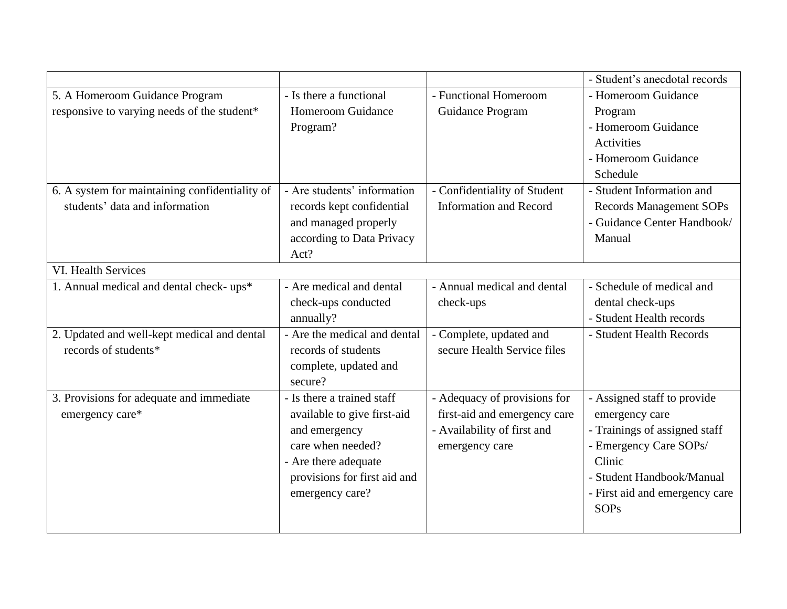|                                                |                              |                               | - Student's anecdotal records  |
|------------------------------------------------|------------------------------|-------------------------------|--------------------------------|
| 5. A Homeroom Guidance Program                 | - Is there a functional      | - Functional Homeroom         | - Homeroom Guidance            |
| responsive to varying needs of the student*    | Homeroom Guidance            | Guidance Program              | Program                        |
|                                                | Program?                     |                               | - Homeroom Guidance            |
|                                                |                              |                               | Activities                     |
|                                                |                              |                               | - Homeroom Guidance            |
|                                                |                              |                               | Schedule                       |
| 6. A system for maintaining confidentiality of | - Are students' information  | - Confidentiality of Student  | - Student Information and      |
| students' data and information                 | records kept confidential    | <b>Information and Record</b> | <b>Records Management SOPs</b> |
|                                                | and managed properly         |                               | - Guidance Center Handbook/    |
|                                                | according to Data Privacy    |                               | Manual                         |
|                                                | Act?                         |                               |                                |
| <b>VI. Health Services</b>                     |                              |                               |                                |
| 1. Annual medical and dental check-ups*        | - Are medical and dental     | - Annual medical and dental   | - Schedule of medical and      |
|                                                | check-ups conducted          | check-ups                     | dental check-ups               |
|                                                | annually?                    |                               | - Student Health records       |
| 2. Updated and well-kept medical and dental    | - Are the medical and dental | - Complete, updated and       | - Student Health Records       |
| records of students*                           | records of students          | secure Health Service files   |                                |
|                                                | complete, updated and        |                               |                                |
|                                                | secure?                      |                               |                                |
| 3. Provisions for adequate and immediate       | - Is there a trained staff   | - Adequacy of provisions for  | - Assigned staff to provide    |
| emergency care*                                | available to give first-aid  | first-aid and emergency care  | emergency care                 |
|                                                | and emergency                | - Availability of first and   | - Trainings of assigned staff  |
|                                                | care when needed?            | emergency care                | - Emergency Care SOPs/         |
|                                                | - Are there adequate         |                               | Clinic                         |
|                                                | provisions for first aid and |                               | - Student Handbook/Manual      |
|                                                | emergency care?              |                               | - First aid and emergency care |
|                                                |                              |                               | <b>SOPs</b>                    |
|                                                |                              |                               |                                |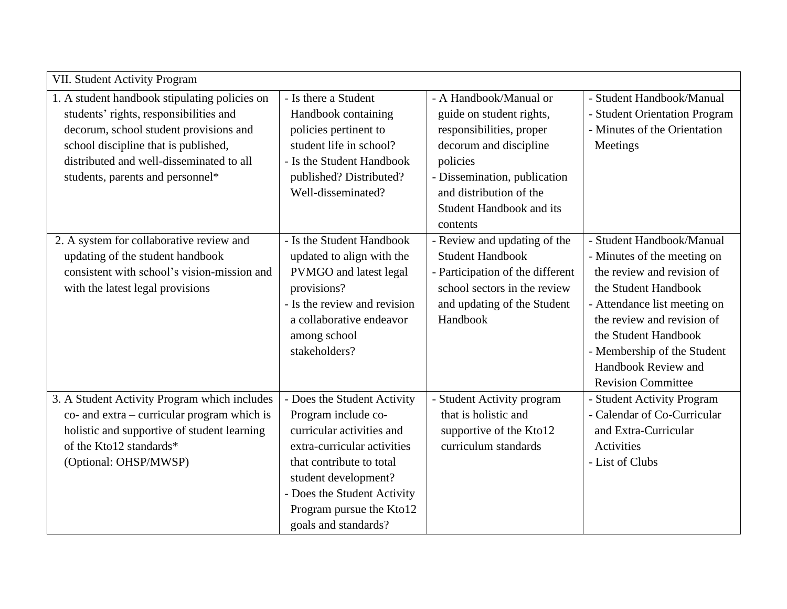| VII. Student Activity Program                      |                              |                                  |                               |
|----------------------------------------------------|------------------------------|----------------------------------|-------------------------------|
| 1. A student handbook stipulating policies on      | - Is there a Student         | - A Handbook/Manual or           | - Student Handbook/Manual     |
| students' rights, responsibilities and             | Handbook containing          | guide on student rights,         | - Student Orientation Program |
| decorum, school student provisions and             | policies pertinent to        | responsibilities, proper         | - Minutes of the Orientation  |
| school discipline that is published,               | student life in school?      | decorum and discipline           | Meetings                      |
| distributed and well-disseminated to all           | - Is the Student Handbook    | policies                         |                               |
| students, parents and personnel*                   | published? Distributed?      | - Dissemination, publication     |                               |
|                                                    | Well-disseminated?           | and distribution of the          |                               |
|                                                    |                              | <b>Student Handbook and its</b>  |                               |
|                                                    |                              | contents                         |                               |
| 2. A system for collaborative review and           | - Is the Student Handbook    | - Review and updating of the     | - Student Handbook/Manual     |
| updating of the student handbook                   | updated to align with the    | <b>Student Handbook</b>          | - Minutes of the meeting on   |
| consistent with school's vision-mission and        | PVMGO and latest legal       | - Participation of the different | the review and revision of    |
| with the latest legal provisions                   | provisions?                  | school sectors in the review     | the Student Handbook          |
|                                                    | - Is the review and revision | and updating of the Student      | - Attendance list meeting on  |
|                                                    | a collaborative endeavor     | Handbook                         | the review and revision of    |
|                                                    | among school                 |                                  | the Student Handbook          |
|                                                    | stakeholders?                |                                  | - Membership of the Student   |
|                                                    |                              |                                  | Handbook Review and           |
|                                                    |                              |                                  | <b>Revision Committee</b>     |
| 3. A Student Activity Program which includes       | - Does the Student Activity  | - Student Activity program       | - Student Activity Program    |
| $\cos$ and $\arctan$ - curricular program which is | Program include co-          | that is holistic and             | - Calendar of Co-Curricular   |
| holistic and supportive of student learning        | curricular activities and    | supportive of the Kto12          | and Extra-Curricular          |
| of the Kto12 standards*                            | extra-curricular activities  | curriculum standards             | Activities                    |
| (Optional: OHSP/MWSP)                              | that contribute to total     |                                  | - List of Clubs               |
|                                                    | student development?         |                                  |                               |
|                                                    | - Does the Student Activity  |                                  |                               |
|                                                    | Program pursue the Kto12     |                                  |                               |
|                                                    | goals and standards?         |                                  |                               |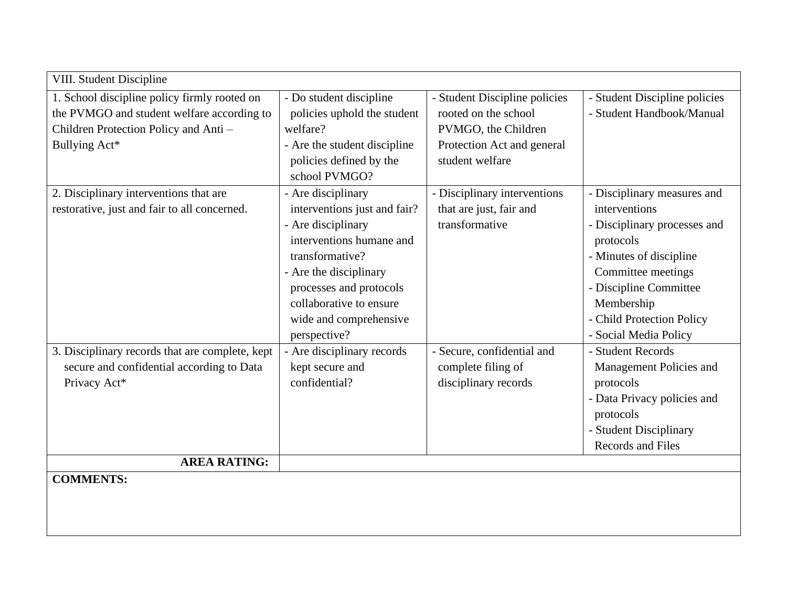| <b>VIII. Student Discipline</b>                 |                              |                               |                               |
|-------------------------------------------------|------------------------------|-------------------------------|-------------------------------|
| 1. School discipline policy firmly rooted on    | - Do student discipline      | - Student Discipline policies | - Student Discipline policies |
| the PVMGO and student welfare according to      | policies uphold the student  | rooted on the school          | - Student Handbook/Manual     |
| Children Protection Policy and Anti -           | welfare?                     | PVMGO, the Children           |                               |
| Bullying Act*                                   | - Are the student discipline | Protection Act and general    |                               |
|                                                 | policies defined by the      | student welfare               |                               |
|                                                 | school PVMGO?                |                               |                               |
| 2. Disciplinary interventions that are          | - Are disciplinary           | - Disciplinary interventions  | - Disciplinary measures and   |
| restorative, just and fair to all concerned.    | interventions just and fair? | that are just, fair and       | interventions                 |
|                                                 | - Are disciplinary           | transformative                | - Disciplinary processes and  |
|                                                 | interventions humane and     |                               | protocols                     |
|                                                 | transformative?              |                               | - Minutes of discipline       |
|                                                 | - Are the disciplinary       |                               | Committee meetings            |
|                                                 | processes and protocols      |                               | - Discipline Committee        |
|                                                 | collaborative to ensure      |                               | Membership                    |
|                                                 | wide and comprehensive       |                               | - Child Protection Policy     |
|                                                 | perspective?                 |                               | - Social Media Policy         |
| 3. Disciplinary records that are complete, kept | - Are disciplinary records   | - Secure, confidential and    | - Student Records             |
| secure and confidential according to Data       | kept secure and              | complete filing of            | Management Policies and       |
| Privacy Act*                                    | confidential?                | disciplinary records          | protocols                     |
|                                                 |                              |                               | - Data Privacy policies and   |
|                                                 |                              |                               | protocols                     |
|                                                 |                              |                               | - Student Disciplinary        |
|                                                 |                              |                               | Records and Files             |
| <b>AREA RATING:</b>                             |                              |                               |                               |
| <b>COMMENTS:</b>                                |                              |                               |                               |
|                                                 |                              |                               |                               |
|                                                 |                              |                               |                               |
|                                                 |                              |                               |                               |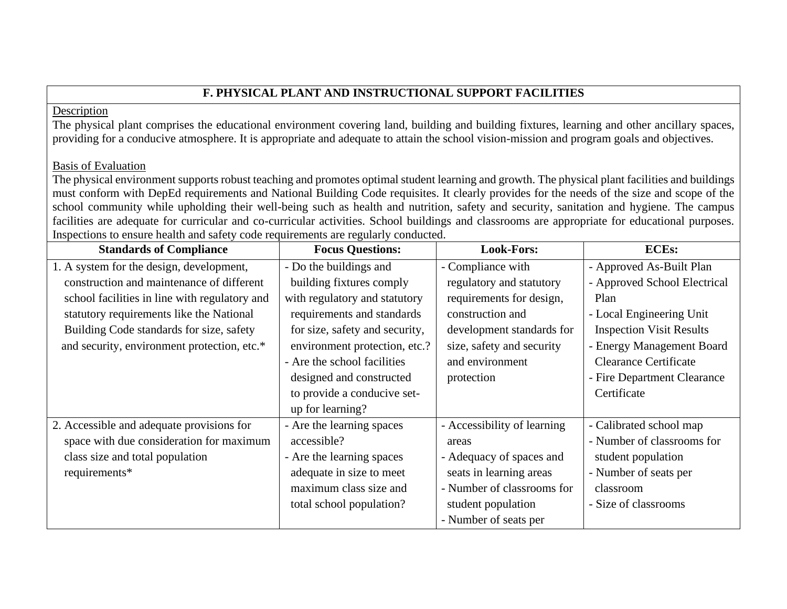## **F. PHYSICAL PLANT AND INSTRUCTIONAL SUPPORT FACILITIES**

### Description

The physical plant comprises the educational environment covering land, building and building fixtures, learning and other ancillary spaces, providing for a conducive atmosphere. It is appropriate and adequate to attain the school vision-mission and program goals and objectives.

## Basis of Evaluation

The physical environment supports robust teaching and promotes optimal student learning and growth. The physical plant facilities and buildings must conform with DepEd requirements and National Building Code requisites. It clearly provides for the needs of the size and scope of the school community while upholding their well-being such as health and nutrition, safety and security, sanitation and hygiene. The campus facilities are adequate for curricular and co-curricular activities. School buildings and classrooms are appropriate for educational purposes. Inspections to ensure health and safety code requirements are regularly conducted.

| <b>Standards of Compliance</b>                | <b>Focus Questions:</b>        | <b>Look-Fors:</b>           | <b>ECEs:</b>                    |
|-----------------------------------------------|--------------------------------|-----------------------------|---------------------------------|
| 1. A system for the design, development,      | - Do the buildings and         | - Compliance with           | - Approved As-Built Plan        |
| construction and maintenance of different     | building fixtures comply       | regulatory and statutory    | - Approved School Electrical    |
| school facilities in line with regulatory and | with regulatory and statutory  | requirements for design,    | Plan                            |
| statutory requirements like the National      | requirements and standards     | construction and            | - Local Engineering Unit        |
| Building Code standards for size, safety      | for size, safety and security, | development standards for   | <b>Inspection Visit Results</b> |
| and security, environment protection, etc.*   | environment protection, etc.?  | size, safety and security   | - Energy Management Board       |
|                                               | - Are the school facilities    | and environment             | <b>Clearance Certificate</b>    |
|                                               | designed and constructed       | protection                  | - Fire Department Clearance     |
|                                               | to provide a conducive set-    |                             | Certificate                     |
|                                               | up for learning?               |                             |                                 |
| 2. Accessible and adequate provisions for     | - Are the learning spaces      | - Accessibility of learning | - Calibrated school map         |
| space with due consideration for maximum      | accessible?                    | areas                       | - Number of classrooms for      |
| class size and total population               | - Are the learning spaces      | - Adequacy of spaces and    | student population              |
| requirements*                                 | adequate in size to meet       | seats in learning areas     | - Number of seats per           |
|                                               | maximum class size and         | - Number of classrooms for  | classroom                       |
|                                               | total school population?       | student population          | - Size of classrooms            |
|                                               |                                | - Number of seats per       |                                 |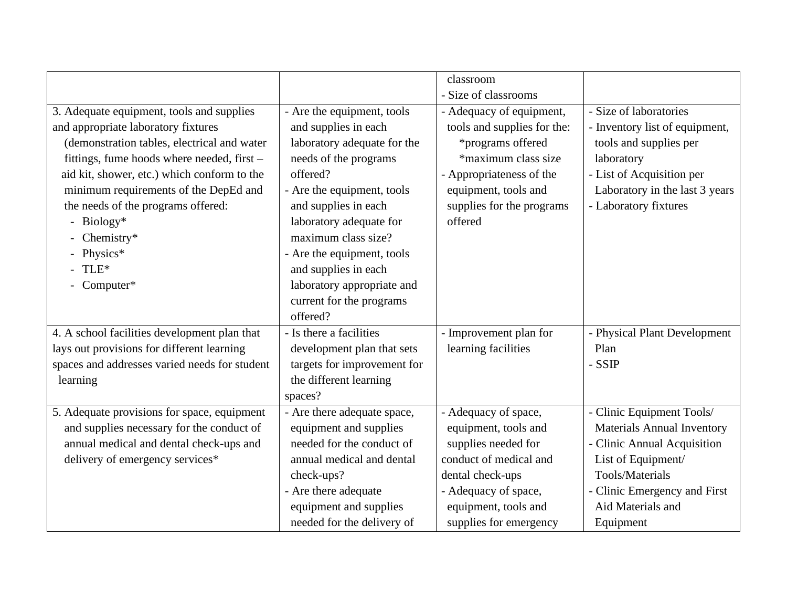|                                               |                             | classroom                   |                                   |
|-----------------------------------------------|-----------------------------|-----------------------------|-----------------------------------|
|                                               |                             | - Size of classrooms        |                                   |
| 3. Adequate equipment, tools and supplies     | - Are the equipment, tools  | - Adequacy of equipment,    | - Size of laboratories            |
| and appropriate laboratory fixtures           | and supplies in each        | tools and supplies for the: | - Inventory list of equipment,    |
| (demonstration tables, electrical and water   | laboratory adequate for the | *programs offered           | tools and supplies per            |
| fittings, fume hoods where needed, first -    | needs of the programs       | *maximum class size         | laboratory                        |
| aid kit, shower, etc.) which conform to the   | offered?                    | - Appropriateness of the    | - List of Acquisition per         |
| minimum requirements of the DepEd and         | - Are the equipment, tools  | equipment, tools and        | Laboratory in the last 3 years    |
| the needs of the programs offered:            | and supplies in each        | supplies for the programs   | - Laboratory fixtures             |
| Biology*<br>$\overline{\phantom{a}}$          | laboratory adequate for     | offered                     |                                   |
| - Chemistry*                                  | maximum class size?         |                             |                                   |
| Physics*                                      | - Are the equipment, tools  |                             |                                   |
| TLE*                                          | and supplies in each        |                             |                                   |
| - Computer*                                   | laboratory appropriate and  |                             |                                   |
|                                               | current for the programs    |                             |                                   |
|                                               | offered?                    |                             |                                   |
| 4. A school facilities development plan that  | - Is there a facilities     | - Improvement plan for      | - Physical Plant Development      |
| lays out provisions for different learning    | development plan that sets  | learning facilities         | Plan                              |
| spaces and addresses varied needs for student | targets for improvement for |                             | - SSIP                            |
| learning                                      | the different learning      |                             |                                   |
|                                               | spaces?                     |                             |                                   |
| 5. Adequate provisions for space, equipment   | - Are there adequate space, | - Adequacy of space,        | - Clinic Equipment Tools/         |
| and supplies necessary for the conduct of     | equipment and supplies      | equipment, tools and        | <b>Materials Annual Inventory</b> |
| annual medical and dental check-ups and       | needed for the conduct of   | supplies needed for         | - Clinic Annual Acquisition       |
| delivery of emergency services*               | annual medical and dental   | conduct of medical and      | List of Equipment/                |
|                                               | check-ups?                  | dental check-ups            | <b>Tools/Materials</b>            |
|                                               | - Are there adequate        | - Adequacy of space,        | - Clinic Emergency and First      |
|                                               | equipment and supplies      | equipment, tools and        | Aid Materials and                 |
|                                               | needed for the delivery of  | supplies for emergency      | Equipment                         |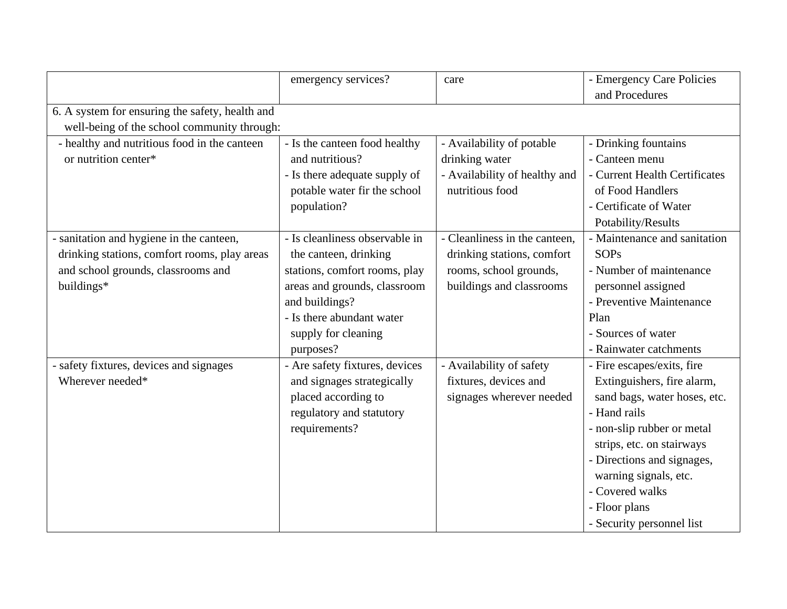|                                                 | emergency services?            | care                          | - Emergency Care Policies<br>and Procedures |  |  |  |
|-------------------------------------------------|--------------------------------|-------------------------------|---------------------------------------------|--|--|--|
| 6. A system for ensuring the safety, health and |                                |                               |                                             |  |  |  |
| well-being of the school community through:     |                                |                               |                                             |  |  |  |
| - healthy and nutritious food in the canteen    | - Is the canteen food healthy  | - Availability of potable     | - Drinking fountains                        |  |  |  |
| or nutrition center*                            | and nutritious?                | drinking water                | - Canteen menu                              |  |  |  |
|                                                 | - Is there adequate supply of  | - Availability of healthy and | - Current Health Certificates               |  |  |  |
|                                                 | potable water fir the school   | nutritious food               | of Food Handlers                            |  |  |  |
|                                                 | population?                    |                               | - Certificate of Water                      |  |  |  |
|                                                 |                                |                               | Potability/Results                          |  |  |  |
| - sanitation and hygiene in the canteen,        | - Is cleanliness observable in | - Cleanliness in the canteen, | - Maintenance and sanitation                |  |  |  |
| drinking stations, comfort rooms, play areas    | the canteen, drinking          | drinking stations, comfort    | <b>SOPs</b>                                 |  |  |  |
| and school grounds, classrooms and              | stations, comfort rooms, play  | rooms, school grounds,        | - Number of maintenance                     |  |  |  |
| buildings*                                      | areas and grounds, classroom   | buildings and classrooms      | personnel assigned                          |  |  |  |
|                                                 | and buildings?                 |                               | - Preventive Maintenance                    |  |  |  |
|                                                 | - Is there abundant water      |                               | Plan                                        |  |  |  |
|                                                 | supply for cleaning            |                               | - Sources of water                          |  |  |  |
|                                                 | purposes?                      |                               | - Rainwater catchments                      |  |  |  |
| - safety fixtures, devices and signages         | - Are safety fixtures, devices | - Availability of safety      | - Fire escapes/exits, fire                  |  |  |  |
| Wherever needed*                                | and signages strategically     | fixtures, devices and         | Extinguishers, fire alarm,                  |  |  |  |
|                                                 | placed according to            | signages wherever needed      | sand bags, water hoses, etc.                |  |  |  |
|                                                 | regulatory and statutory       |                               | - Hand rails                                |  |  |  |
|                                                 | requirements?                  |                               | - non-slip rubber or metal                  |  |  |  |
|                                                 |                                |                               | strips, etc. on stairways                   |  |  |  |
|                                                 |                                |                               | - Directions and signages,                  |  |  |  |
|                                                 |                                |                               | warning signals, etc.                       |  |  |  |
|                                                 |                                |                               | - Covered walks                             |  |  |  |
|                                                 |                                |                               | - Floor plans                               |  |  |  |
|                                                 |                                |                               | - Security personnel list                   |  |  |  |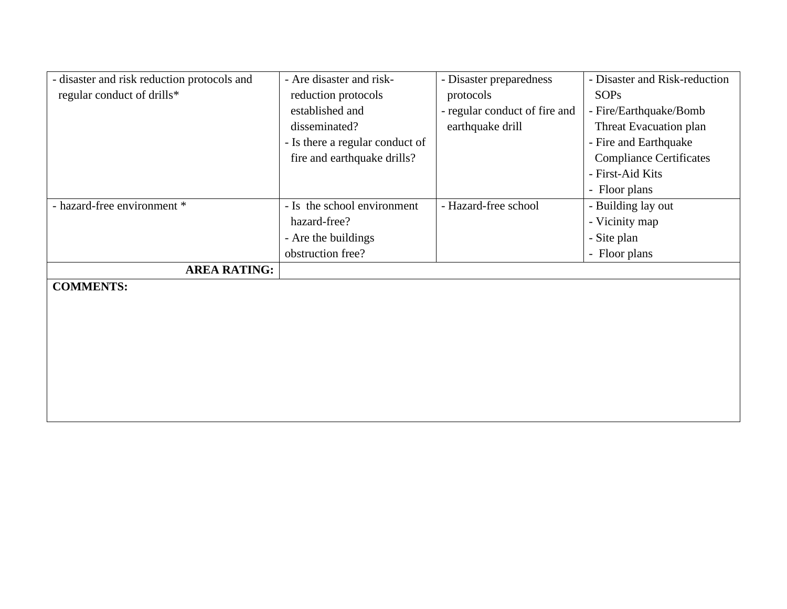| - disaster and risk reduction protocols and | - Are disaster and risk-        | - Disaster preparedness       | - Disaster and Risk-reduction  |
|---------------------------------------------|---------------------------------|-------------------------------|--------------------------------|
| regular conduct of drills*                  | reduction protocols             | protocols                     | <b>SOPs</b>                    |
|                                             | established and                 | - regular conduct of fire and | - Fire/Earthquake/Bomb         |
|                                             | disseminated?                   | earthquake drill              | Threat Evacuation plan         |
|                                             | - Is there a regular conduct of |                               | - Fire and Earthquake          |
|                                             | fire and earthquake drills?     |                               | <b>Compliance Certificates</b> |
|                                             |                                 |                               | - First-Aid Kits               |
|                                             |                                 |                               | - Floor plans                  |
| - hazard-free environment *                 | - Is the school environment     | - Hazard-free school          | - Building lay out             |
|                                             | hazard-free?                    |                               | - Vicinity map                 |
|                                             | - Are the buildings             |                               | - Site plan                    |
|                                             | obstruction free?               |                               | - Floor plans                  |
| <b>AREA RATING:</b>                         |                                 |                               |                                |
| <b>COMMENTS:</b>                            |                                 |                               |                                |
|                                             |                                 |                               |                                |
|                                             |                                 |                               |                                |
|                                             |                                 |                               |                                |
|                                             |                                 |                               |                                |
|                                             |                                 |                               |                                |
|                                             |                                 |                               |                                |
|                                             |                                 |                               |                                |
|                                             |                                 |                               |                                |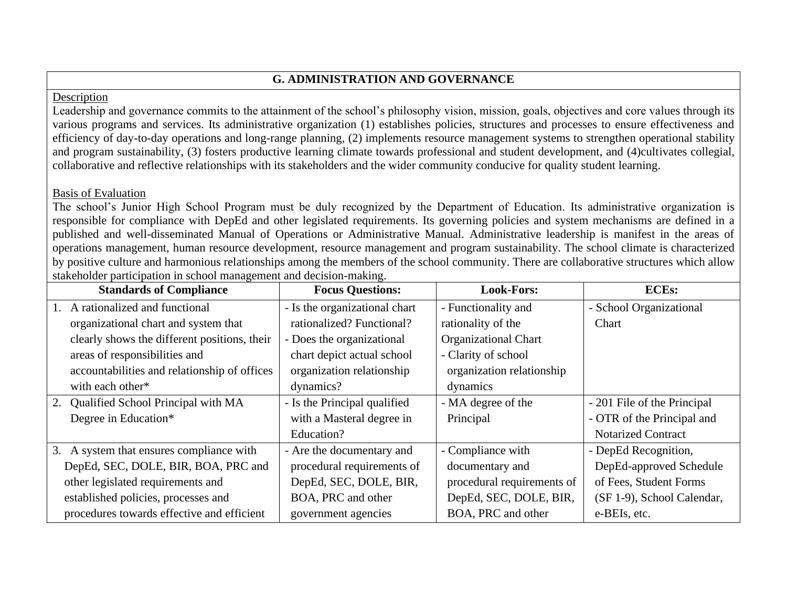# **G. ADMINISTRATION AND GOVERNANCE**

### Description

Leadership and governance commits to the attainment of the school's philosophy vision, mission, goals, objectives and core values through its various programs and services. Its administrative organization (1) establishes policies, structures and processes to ensure effectiveness and efficiency of day-to-day operations and long-range planning, (2) implements resource management systems to strengthen operational stability and program sustainability, (3) fosters productive learning climate towards professional and student development, and (4)cultivates collegial, collaborative and reflective relationships with its stakeholders and the wider community conducive for quality student learning.

## Basis of Evaluation

The school's Junior High School Program must be duly recognized by the Department of Education. Its administrative organization is responsible for compliance with DepEd and other legislated requirements. Its governing policies and system mechanisms are defined in a published and well-disseminated Manual of Operations or Administrative Manual. Administrative leadership is manifest in the areas of operations management, human resource development, resource management and program sustainability. The school climate is characterized by positive culture and harmonious relationships among the members of the school community. There are collaborative structures which allow stakeholder participation in school management and decision-making.

|    | <b>Standards of Compliance</b>               | <b>Focus Questions:</b>       | <b>Look-Fors:</b>           | <b>ECEs:</b>                |
|----|----------------------------------------------|-------------------------------|-----------------------------|-----------------------------|
| 1. | A rationalized and functional                | - Is the organizational chart | - Functionality and         | - School Organizational     |
|    | organizational chart and system that         | rationalized? Functional?     | rationality of the          | Chart                       |
|    | clearly shows the different positions, their | - Does the organizational     | <b>Organizational Chart</b> |                             |
|    | areas of responsibilities and                | chart depict actual school    | - Clarity of school         |                             |
|    | accountabilities and relationship of offices | organization relationship     | organization relationship   |                             |
|    | with each other*                             | dynamics?                     | dynamics                    |                             |
| 2. | Qualified School Principal with MA           | - Is the Principal qualified  | - MA degree of the          | - 201 File of the Principal |
|    | Degree in Education*                         | with a Masteral degree in     | Principal                   | - OTR of the Principal and  |
|    |                                              | Education?                    |                             | <b>Notarized Contract</b>   |
|    | 3. A system that ensures compliance with     | - Are the documentary and     | - Compliance with           | - DepEd Recognition,        |
|    | DepEd, SEC, DOLE, BIR, BOA, PRC and          | procedural requirements of    | documentary and             | DepEd-approved Schedule     |
|    | other legislated requirements and            | DepEd, SEC, DOLE, BIR,        | procedural requirements of  | of Fees, Student Forms      |
|    | established policies, processes and          | BOA, PRC and other            | DepEd, SEC, DOLE, BIR,      | (SF 1-9), School Calendar,  |
|    | procedures towards effective and efficient   | government agencies           | BOA, PRC and other          | e-BEIs, etc.                |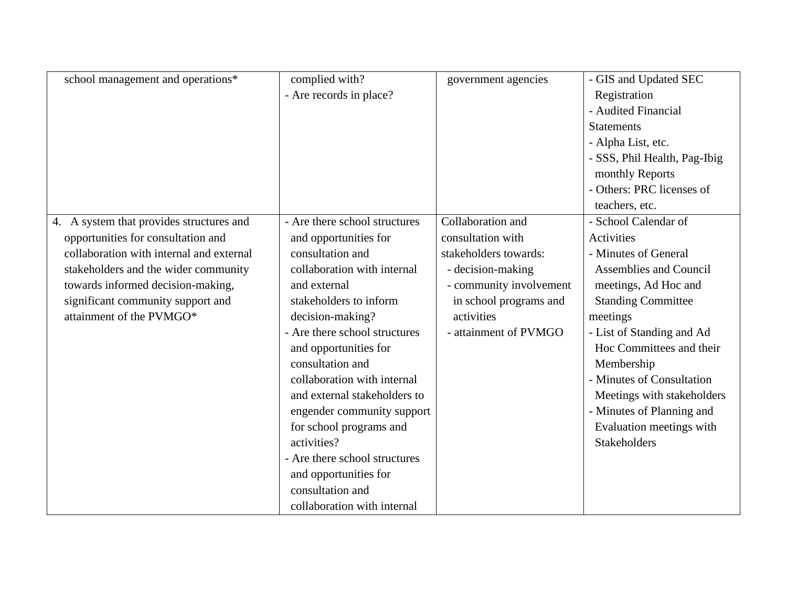| school management and operations*        | complied with?                | government agencies     | - GIS and Updated SEC         |
|------------------------------------------|-------------------------------|-------------------------|-------------------------------|
|                                          | - Are records in place?       |                         | Registration                  |
|                                          |                               |                         | - Audited Financial           |
|                                          |                               |                         | <b>Statements</b>             |
|                                          |                               |                         | - Alpha List, etc.            |
|                                          |                               |                         | - SSS, Phil Health, Pag-Ibig  |
|                                          |                               |                         | monthly Reports               |
|                                          |                               |                         | - Others: PRC licenses of     |
|                                          |                               |                         | teachers, etc.                |
| 4. A system that provides structures and | - Are there school structures | Collaboration and       | - School Calendar of          |
| opportunities for consultation and       | and opportunities for         | consultation with       | Activities                    |
| collaboration with internal and external | consultation and              | stakeholders towards:   | - Minutes of General          |
| stakeholders and the wider community     | collaboration with internal   | - decision-making       | <b>Assemblies and Council</b> |
| towards informed decision-making,        | and external                  | - community involvement | meetings, Ad Hoc and          |
| significant community support and        | stakeholders to inform        | in school programs and  | <b>Standing Committee</b>     |
| attainment of the PVMGO*                 | decision-making?              | activities              | meetings                      |
|                                          | - Are there school structures | - attainment of PVMGO   | - List of Standing and Ad     |
|                                          | and opportunities for         |                         | Hoc Committees and their      |
|                                          | consultation and              |                         | Membership                    |
|                                          | collaboration with internal   |                         | - Minutes of Consultation     |
|                                          | and external stakeholders to  |                         | Meetings with stakeholders    |
|                                          | engender community support    |                         | - Minutes of Planning and     |
|                                          | for school programs and       |                         | Evaluation meetings with      |
|                                          | activities?                   |                         | <b>Stakeholders</b>           |
|                                          | - Are there school structures |                         |                               |
|                                          | and opportunities for         |                         |                               |
|                                          | consultation and              |                         |                               |
|                                          | collaboration with internal   |                         |                               |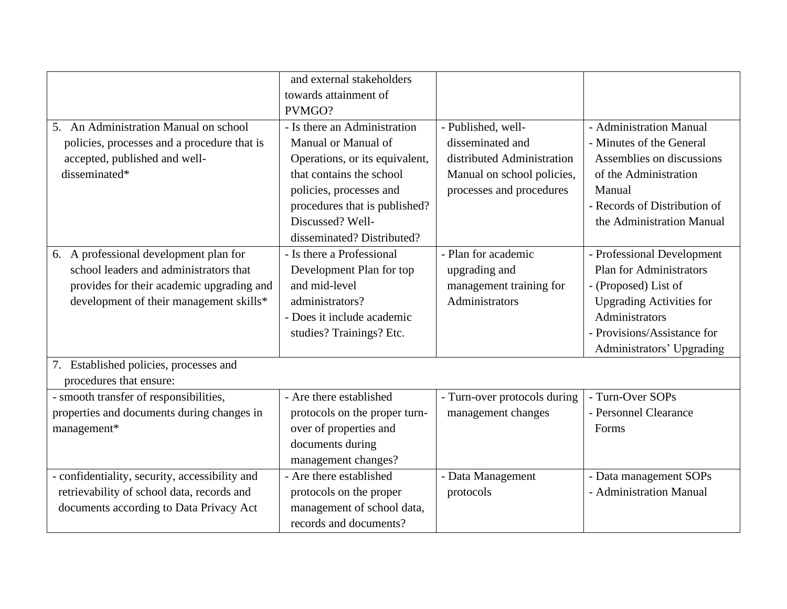|                                                | and external stakeholders      |                              |                                 |
|------------------------------------------------|--------------------------------|------------------------------|---------------------------------|
|                                                | towards attainment of          |                              |                                 |
|                                                | PVMGO?                         |                              |                                 |
| 5. An Administration Manual on school          | - Is there an Administration   | - Published, well-           | - Administration Manual         |
| policies, processes and a procedure that is    | Manual or Manual of            | disseminated and             | - Minutes of the General        |
| accepted, published and well-                  | Operations, or its equivalent, | distributed Administration   | Assemblies on discussions       |
| disseminated*                                  | that contains the school       | Manual on school policies,   | of the Administration           |
|                                                | policies, processes and        | processes and procedures     | Manual                          |
|                                                | procedures that is published?  |                              | - Records of Distribution of    |
|                                                | Discussed? Well-               |                              | the Administration Manual       |
|                                                | disseminated? Distributed?     |                              |                                 |
| 6. A professional development plan for         | - Is there a Professional      | - Plan for academic          | - Professional Development      |
| school leaders and administrators that         | Development Plan for top       | upgrading and                | <b>Plan for Administrators</b>  |
| provides for their academic upgrading and      | and mid-level                  | management training for      | - (Proposed) List of            |
| development of their management skills*        | administrators?                | Administrators               | <b>Upgrading Activities for</b> |
|                                                | - Does it include academic     |                              | Administrators                  |
|                                                | studies? Trainings? Etc.       |                              | - Provisions/Assistance for     |
|                                                |                                |                              | Administrators' Upgrading       |
| 7. Established policies, processes and         |                                |                              |                                 |
| procedures that ensure:                        |                                |                              |                                 |
| - smooth transfer of responsibilities,         | - Are there established        | - Turn-over protocols during | - Turn-Over SOPs                |
| properties and documents during changes in     | protocols on the proper turn-  | management changes           | - Personnel Clearance           |
| management*                                    | over of properties and         |                              | Forms                           |
|                                                | documents during               |                              |                                 |
|                                                | management changes?            |                              |                                 |
| - confidentiality, security, accessibility and | - Are there established        | - Data Management            | - Data management SOPs          |
| retrievability of school data, records and     | protocols on the proper        | protocols                    | - Administration Manual         |
| documents according to Data Privacy Act        | management of school data,     |                              |                                 |
|                                                | records and documents?         |                              |                                 |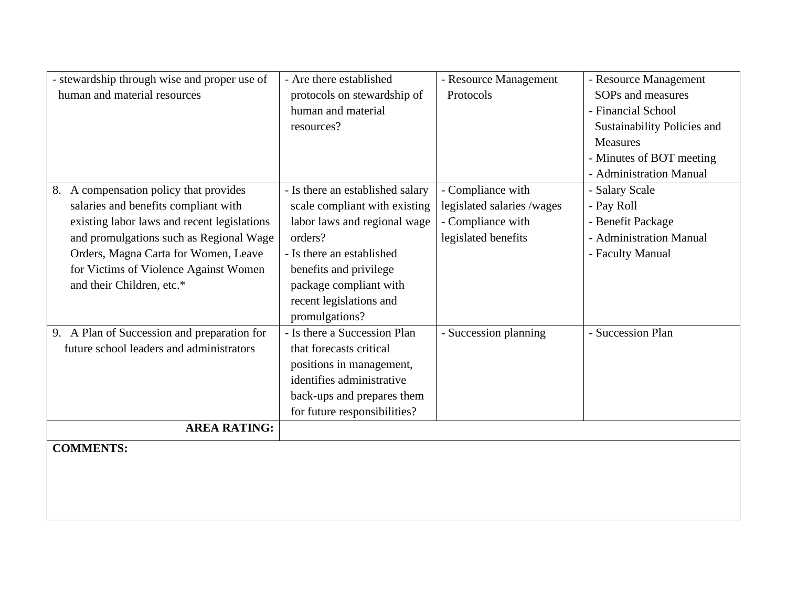| - stewardship through wise and proper use of | - Are there established          | - Resource Management      | - Resource Management       |
|----------------------------------------------|----------------------------------|----------------------------|-----------------------------|
| human and material resources                 | protocols on stewardship of      | Protocols                  | SOPs and measures           |
|                                              | human and material               |                            | - Financial School          |
|                                              | resources?                       |                            | Sustainability Policies and |
|                                              |                                  |                            | <b>Measures</b>             |
|                                              |                                  |                            | - Minutes of BOT meeting    |
|                                              |                                  |                            | - Administration Manual     |
| 8. A compensation policy that provides       | - Is there an established salary | - Compliance with          | - Salary Scale              |
| salaries and benefits compliant with         | scale compliant with existing    | legislated salaries /wages | - Pay Roll                  |
| existing labor laws and recent legislations  | labor laws and regional wage     | - Compliance with          | - Benefit Package           |
| and promulgations such as Regional Wage      | orders?                          | legislated benefits        | - Administration Manual     |
| Orders, Magna Carta for Women, Leave         | - Is there an established        |                            | - Faculty Manual            |
| for Victims of Violence Against Women        | benefits and privilege           |                            |                             |
| and their Children, etc.*                    | package compliant with           |                            |                             |
|                                              | recent legislations and          |                            |                             |
|                                              | promulgations?                   |                            |                             |
| 9. A Plan of Succession and preparation for  | - Is there a Succession Plan     | - Succession planning      | - Succession Plan           |
| future school leaders and administrators     | that forecasts critical          |                            |                             |
|                                              | positions in management,         |                            |                             |
|                                              | identifies administrative        |                            |                             |
|                                              | back-ups and prepares them       |                            |                             |
|                                              | for future responsibilities?     |                            |                             |
| <b>AREA RATING:</b>                          |                                  |                            |                             |
| <b>COMMENTS:</b>                             |                                  |                            |                             |
|                                              |                                  |                            |                             |
|                                              |                                  |                            |                             |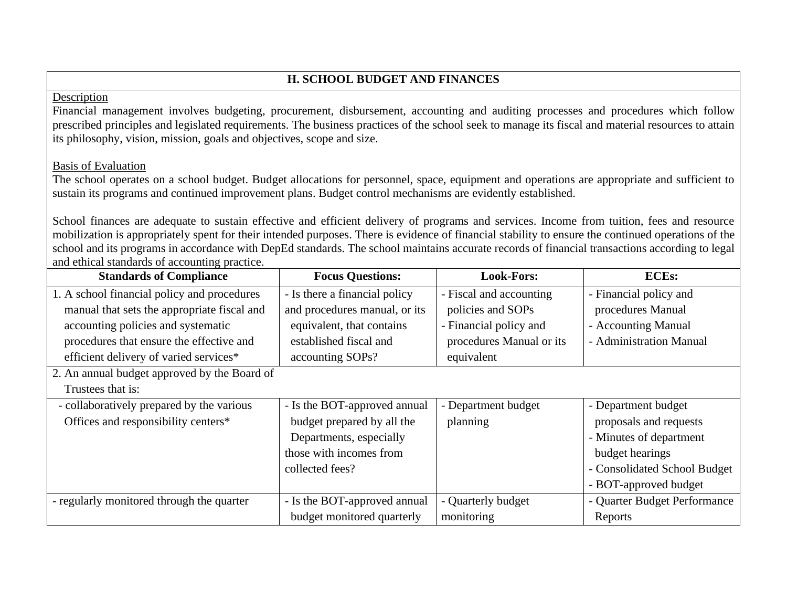# **H. SCHOOL BUDGET AND FINANCES**

### Description

Financial management involves budgeting, procurement, disbursement, accounting and auditing processes and procedures which follow prescribed principles and legislated requirements. The business practices of the school seek to manage its fiscal and material resources to attain its philosophy, vision, mission, goals and objectives, scope and size.

### Basis of Evaluation

The school operates on a school budget. Budget allocations for personnel, space, equipment and operations are appropriate and sufficient to sustain its programs and continued improvement plans. Budget control mechanisms are evidently established.

School finances are adequate to sustain effective and efficient delivery of programs and services. Income from tuition, fees and resource mobilization is appropriately spent for their intended purposes. There is evidence of financial stability to ensure the continued operations of the school and its programs in accordance with DepEd standards. The school maintains accurate records of financial transactions according to legal and ethical standards of accounting practice.

| <b>Standards of Compliance</b>               | <b>Focus Questions:</b>       | <b>Look-Fors:</b>        | <b>ECEs:</b>                 |
|----------------------------------------------|-------------------------------|--------------------------|------------------------------|
| 1. A school financial policy and procedures  | - Is there a financial policy | - Fiscal and accounting  | - Financial policy and       |
| manual that sets the appropriate fiscal and  | and procedures manual, or its | policies and SOPs        | procedures Manual            |
| accounting policies and systematic           | equivalent, that contains     | - Financial policy and   | - Accounting Manual          |
| procedures that ensure the effective and     | established fiscal and        | procedures Manual or its | - Administration Manual      |
| efficient delivery of varied services*       | accounting SOPs?              | equivalent               |                              |
| 2. An annual budget approved by the Board of |                               |                          |                              |
| Trustees that is:                            |                               |                          |                              |
| - collaboratively prepared by the various    | - Is the BOT-approved annual  | - Department budget      | - Department budget          |
| Offices and responsibility centers*          | budget prepared by all the    | planning                 | proposals and requests       |
|                                              | Departments, especially       |                          | - Minutes of department      |
|                                              | those with incomes from       |                          | budget hearings              |
|                                              | collected fees?               |                          | - Consolidated School Budget |
|                                              |                               |                          | - BOT-approved budget        |
| - regularly monitored through the quarter    | - Is the BOT-approved annual  | - Quarterly budget       | - Quarter Budget Performance |
|                                              | budget monitored quarterly    | monitoring               | Reports                      |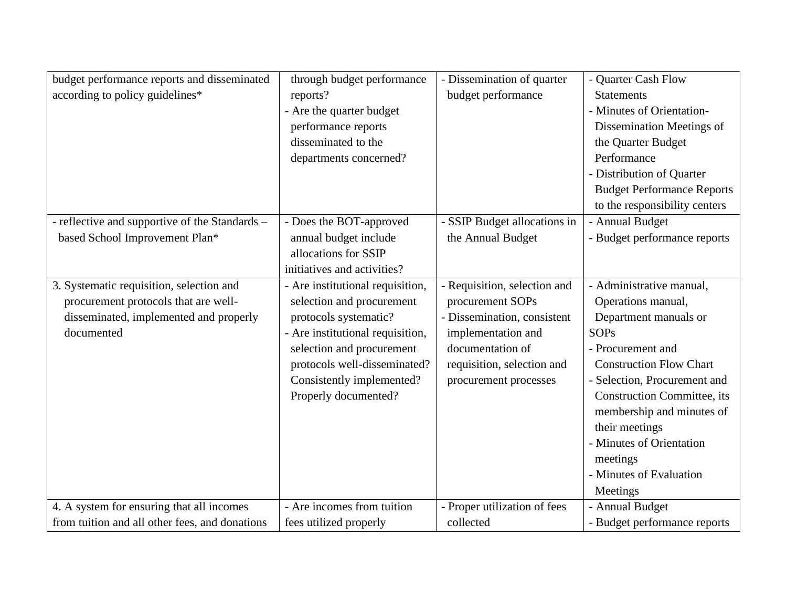| budget performance reports and disseminated    | through budget performance       | - Dissemination of quarter   | - Quarter Cash Flow                |
|------------------------------------------------|----------------------------------|------------------------------|------------------------------------|
| according to policy guidelines*                | reports?                         | budget performance           | <b>Statements</b>                  |
|                                                | - Are the quarter budget         |                              | - Minutes of Orientation-          |
|                                                | performance reports              |                              | Dissemination Meetings of          |
|                                                | disseminated to the              |                              | the Quarter Budget                 |
|                                                | departments concerned?           |                              | Performance                        |
|                                                |                                  |                              | - Distribution of Quarter          |
|                                                |                                  |                              | <b>Budget Performance Reports</b>  |
|                                                |                                  |                              | to the responsibility centers      |
| - reflective and supportive of the Standards - | - Does the BOT-approved          | - SSIP Budget allocations in | - Annual Budget                    |
| based School Improvement Plan*                 | annual budget include            | the Annual Budget            | - Budget performance reports       |
|                                                | allocations for SSIP             |                              |                                    |
|                                                | initiatives and activities?      |                              |                                    |
| 3. Systematic requisition, selection and       | - Are institutional requisition, | - Requisition, selection and | - Administrative manual,           |
| procurement protocols that are well-           | selection and procurement        | procurement SOPs             | Operations manual,                 |
| disseminated, implemented and properly         | protocols systematic?            | - Dissemination, consistent  | Department manuals or              |
| documented                                     | - Are institutional requisition, | implementation and           | <b>SOPs</b>                        |
|                                                | selection and procurement        | documentation of             | - Procurement and                  |
|                                                | protocols well-disseminated?     | requisition, selection and   | <b>Construction Flow Chart</b>     |
|                                                | Consistently implemented?        | procurement processes        | - Selection, Procurement and       |
|                                                | Properly documented?             |                              | <b>Construction Committee, its</b> |
|                                                |                                  |                              | membership and minutes of          |
|                                                |                                  |                              | their meetings                     |
|                                                |                                  |                              | - Minutes of Orientation           |
|                                                |                                  |                              | meetings                           |
|                                                |                                  |                              | - Minutes of Evaluation            |
|                                                |                                  |                              | Meetings                           |
| 4. A system for ensuring that all incomes      | - Are incomes from tuition       | - Proper utilization of fees | - Annual Budget                    |
| from tuition and all other fees, and donations | fees utilized properly           | collected                    | - Budget performance reports       |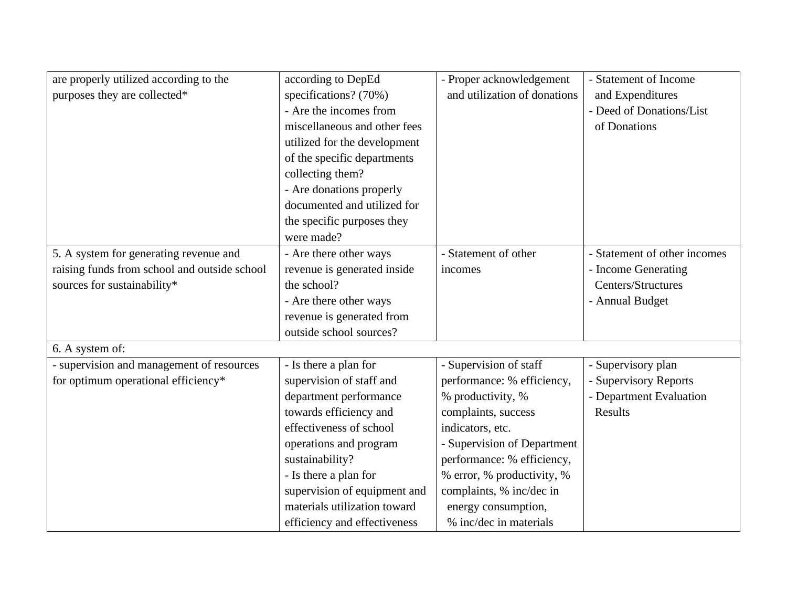| are properly utilized according to the       | according to DepEd           | - Proper acknowledgement     | - Statement of Income        |
|----------------------------------------------|------------------------------|------------------------------|------------------------------|
| purposes they are collected*                 | specifications? (70%)        | and utilization of donations | and Expenditures             |
|                                              | - Are the incomes from       |                              | - Deed of Donations/List     |
|                                              | miscellaneous and other fees |                              | of Donations                 |
|                                              | utilized for the development |                              |                              |
|                                              | of the specific departments  |                              |                              |
|                                              | collecting them?             |                              |                              |
|                                              | - Are donations properly     |                              |                              |
|                                              | documented and utilized for  |                              |                              |
|                                              | the specific purposes they   |                              |                              |
|                                              | were made?                   |                              |                              |
| 5. A system for generating revenue and       | - Are there other ways       | - Statement of other         | - Statement of other incomes |
| raising funds from school and outside school | revenue is generated inside  | incomes                      | - Income Generating          |
| sources for sustainability*                  | the school?                  |                              | Centers/Structures           |
|                                              | - Are there other ways       |                              | - Annual Budget              |
|                                              | revenue is generated from    |                              |                              |
|                                              | outside school sources?      |                              |                              |
| 6. A system of:                              |                              |                              |                              |
| - supervision and management of resources    | - Is there a plan for        | - Supervision of staff       | - Supervisory plan           |
| for optimum operational efficiency*          | supervision of staff and     | performance: % efficiency,   | - Supervisory Reports        |
|                                              | department performance       | % productivity, %            | - Department Evaluation      |
|                                              | towards efficiency and       | complaints, success          | Results                      |
|                                              | effectiveness of school      | indicators, etc.             |                              |
|                                              | operations and program       | - Supervision of Department  |                              |
|                                              | sustainability?              | performance: % efficiency,   |                              |
|                                              | - Is there a plan for        | % error, % productivity, %   |                              |
|                                              | supervision of equipment and | complaints, % inc/dec in     |                              |
|                                              | materials utilization toward | energy consumption,          |                              |
|                                              | efficiency and effectiveness | % inc/dec in materials       |                              |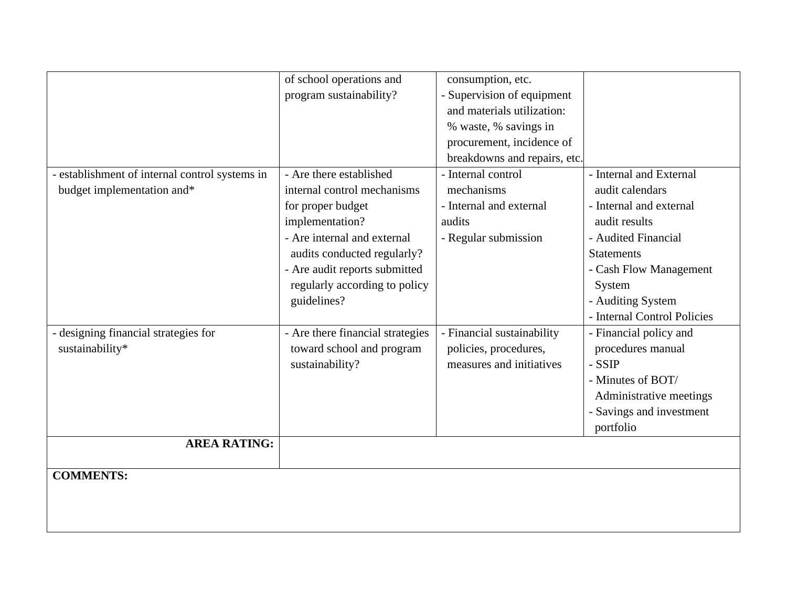|                                              | of school operations and         | consumption, etc.            |                             |
|----------------------------------------------|----------------------------------|------------------------------|-----------------------------|
|                                              | program sustainability?          | - Supervision of equipment   |                             |
|                                              |                                  | and materials utilization:   |                             |
|                                              |                                  | % waste, % savings in        |                             |
|                                              |                                  | procurement, incidence of    |                             |
|                                              |                                  | breakdowns and repairs, etc. |                             |
| establishment of internal control systems in | - Are there established          | - Internal control           | - Internal and External     |
| budget implementation and*                   | internal control mechanisms      | mechanisms                   | audit calendars             |
|                                              | for proper budget                | - Internal and external      | - Internal and external     |
|                                              | implementation?                  | audits                       | audit results               |
|                                              | - Are internal and external      | - Regular submission         | - Audited Financial         |
|                                              | audits conducted regularly?      |                              | <b>Statements</b>           |
|                                              | - Are audit reports submitted    |                              | - Cash Flow Management      |
|                                              | regularly according to policy    |                              | System                      |
|                                              | guidelines?                      |                              | - Auditing System           |
|                                              |                                  |                              | - Internal Control Policies |
| designing financial strategies for           | - Are there financial strategies | - Financial sustainability   | - Financial policy and      |
| sustainability*                              | toward school and program        | policies, procedures,        | procedures manual           |
|                                              | sustainability?                  | measures and initiatives     | - SSIP                      |
|                                              |                                  |                              | - Minutes of BOT/           |
|                                              |                                  |                              | Administrative meetings     |
|                                              |                                  |                              | - Savings and investment    |
|                                              |                                  |                              | portfolio                   |
| <b>AREA RATING:</b>                          |                                  |                              |                             |
|                                              |                                  |                              |                             |
| <b>COMMENTS:</b>                             |                                  |                              |                             |
|                                              |                                  |                              |                             |
|                                              |                                  |                              |                             |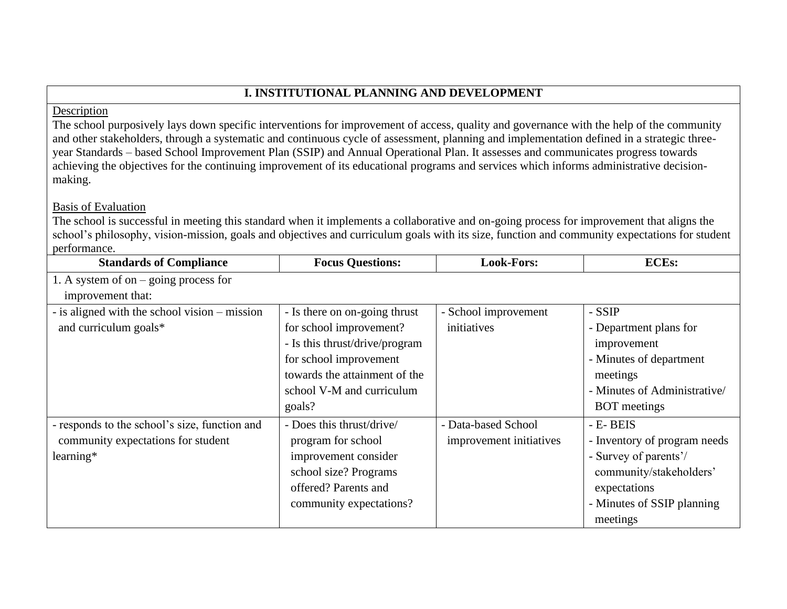# **I. INSTITUTIONAL PLANNING AND DEVELOPMENT**

### Description

The school purposively lays down specific interventions for improvement of access, quality and governance with the help of the community and other stakeholders, through a systematic and continuous cycle of assessment, planning and implementation defined in a strategic threeyear Standards – based School Improvement Plan (SSIP) and Annual Operational Plan. It assesses and communicates progress towards achieving the objectives for the continuing improvement of its educational programs and services which informs administrative decisionmaking.

## Basis of Evaluation

The school is successful in meeting this standard when it implements a collaborative and on-going process for improvement that aligns the school's philosophy, vision-mission, goals and objectives and curriculum goals with its size, function and community expectations for student performance.

| <b>Standards of Compliance</b>                | <b>Focus Questions:</b>        | <b>Look-Fors:</b>       | <b>ECEs:</b>                 |
|-----------------------------------------------|--------------------------------|-------------------------|------------------------------|
| 1. A system of on $-$ going process for       |                                |                         |                              |
| improvement that:                             |                                |                         |                              |
| - is aligned with the school vision – mission | - Is there on on-going thrust  | - School improvement    | - SSIP                       |
| and curriculum goals*                         | for school improvement?        | initiatives             | - Department plans for       |
|                                               | - Is this thrust/drive/program |                         | improvement                  |
|                                               | for school improvement         |                         | - Minutes of department      |
|                                               | towards the attainment of the  |                         | meetings                     |
|                                               | school V-M and curriculum      |                         | - Minutes of Administrative/ |
|                                               | goals?                         |                         | <b>BOT</b> meetings          |
| - responds to the school's size, function and | - Does this thrust/drive/      | - Data-based School     | - E- BEIS                    |
| community expectations for student            | program for school             | improvement initiatives | - Inventory of program needs |
| learning*                                     | improvement consider           |                         | - Survey of parents'/        |
|                                               | school size? Programs          |                         | community/stakeholders'      |
|                                               | offered? Parents and           |                         | expectations                 |
|                                               | community expectations?        |                         | - Minutes of SSIP planning   |
|                                               |                                |                         | meetings                     |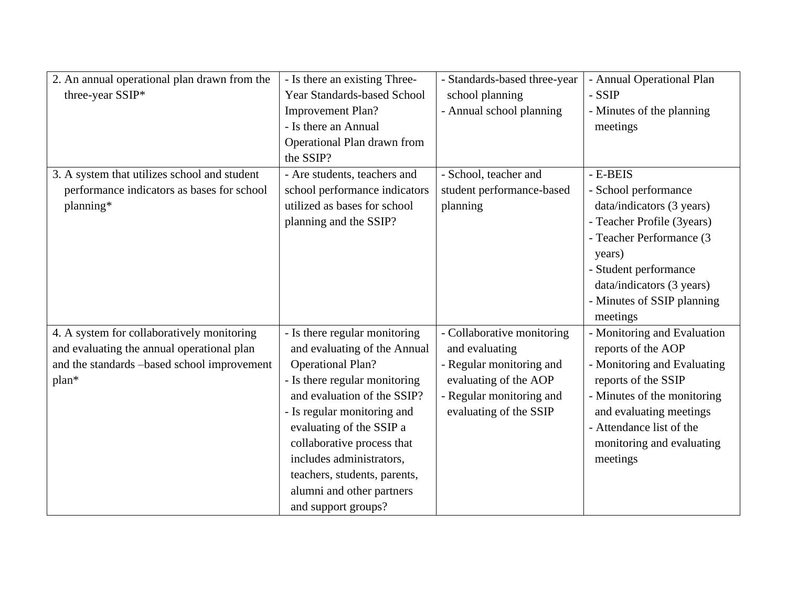| 2. An annual operational plan drawn from the | - Is there an existing Three-      | - Standards-based three-year | - Annual Operational Plan   |
|----------------------------------------------|------------------------------------|------------------------------|-----------------------------|
| three-year SSIP*                             | <b>Year Standards-based School</b> | school planning              | - SSIP                      |
|                                              | <b>Improvement Plan?</b>           | - Annual school planning     | - Minutes of the planning   |
|                                              | - Is there an Annual               |                              | meetings                    |
|                                              | Operational Plan drawn from        |                              |                             |
|                                              | the SSIP?                          |                              |                             |
| 3. A system that utilizes school and student | - Are students, teachers and       | - School, teacher and        | - E-BEIS                    |
| performance indicators as bases for school   | school performance indicators      | student performance-based    | - School performance        |
| planning*                                    | utilized as bases for school       | planning                     | data/indicators (3 years)   |
|                                              | planning and the SSIP?             |                              | - Teacher Profile (3years)  |
|                                              |                                    |                              | - Teacher Performance (3    |
|                                              |                                    |                              | years)                      |
|                                              |                                    |                              | - Student performance       |
|                                              |                                    |                              | data/indicators (3 years)   |
|                                              |                                    |                              | - Minutes of SSIP planning  |
|                                              |                                    |                              | meetings                    |
| 4. A system for collaboratively monitoring   | - Is there regular monitoring      | - Collaborative monitoring   | - Monitoring and Evaluation |
| and evaluating the annual operational plan   | and evaluating of the Annual       | and evaluating               | reports of the AOP          |
| and the standards -based school improvement  | <b>Operational Plan?</b>           | - Regular monitoring and     | - Monitoring and Evaluating |
| plan*                                        | - Is there regular monitoring      | evaluating of the AOP        | reports of the SSIP         |
|                                              | and evaluation of the SSIP?        | - Regular monitoring and     | - Minutes of the monitoring |
|                                              | - Is regular monitoring and        | evaluating of the SSIP       | and evaluating meetings     |
|                                              | evaluating of the SSIP a           |                              | - Attendance list of the    |
|                                              | collaborative process that         |                              | monitoring and evaluating   |
|                                              | includes administrators,           |                              | meetings                    |
|                                              | teachers, students, parents,       |                              |                             |
|                                              | alumni and other partners          |                              |                             |
|                                              | and support groups?                |                              |                             |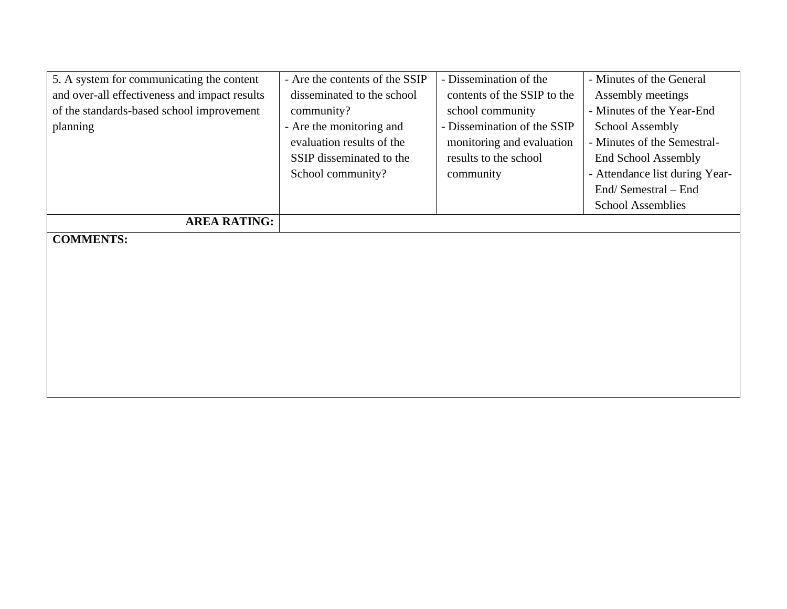| 5. A system for communicating the content     | - Are the contents of the SSIP | - Dissemination of the      | - Minutes of the General       |
|-----------------------------------------------|--------------------------------|-----------------------------|--------------------------------|
| and over-all effectiveness and impact results | disseminated to the school     | contents of the SSIP to the | Assembly meetings              |
| of the standards-based school improvement     | community?                     | school community            | - Minutes of the Year-End      |
| planning                                      | - Are the monitoring and       | - Dissemination of the SSIP | <b>School Assembly</b>         |
|                                               | evaluation results of the      | monitoring and evaluation   | - Minutes of the Semestral-    |
|                                               | SSIP disseminated to the       | results to the school       | <b>End School Assembly</b>     |
|                                               | School community?              | community                   | - Attendance list during Year- |
|                                               |                                |                             | End/Semestral – End            |
|                                               |                                |                             | <b>School Assemblies</b>       |
| <b>AREA RATING:</b>                           |                                |                             |                                |
| <b>COMMENTS:</b>                              |                                |                             |                                |
|                                               |                                |                             |                                |
|                                               |                                |                             |                                |
|                                               |                                |                             |                                |
|                                               |                                |                             |                                |
|                                               |                                |                             |                                |
|                                               |                                |                             |                                |
|                                               |                                |                             |                                |
|                                               |                                |                             |                                |
|                                               |                                |                             |                                |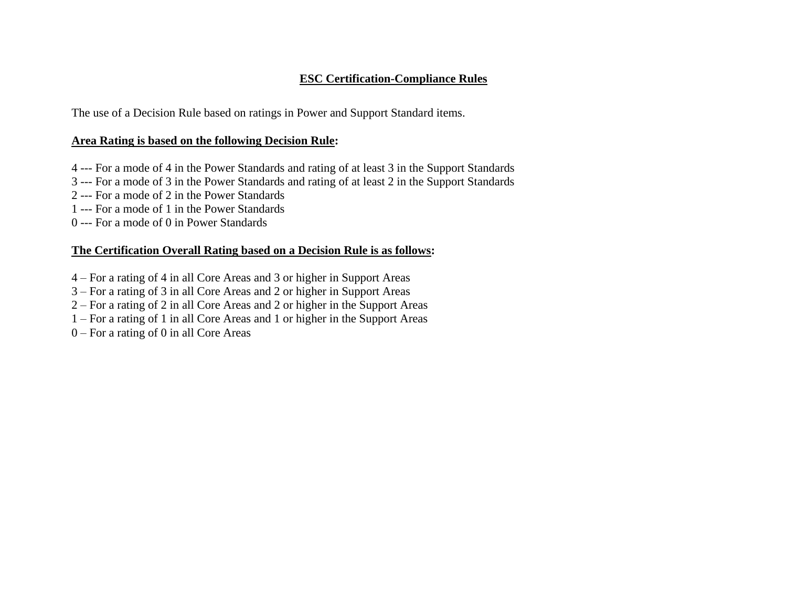### **ESC Certification-Compliance Rules**

The use of a Decision Rule based on ratings in Power and Support Standard items.

### **Area Rating is based on the following Decision Rule:**

- 4 --- For a mode of 4 in the Power Standards and rating of at least 3 in the Support Standards
- 3 --- For a mode of 3 in the Power Standards and rating of at least 2 in the Support Standards
- 2 --- For a mode of 2 in the Power Standards
- 1 --- For a mode of 1 in the Power Standards
- 0 --- For a mode of 0 in Power Standards

## **The Certification Overall Rating based on a Decision Rule is as follows:**

- 4 For a rating of 4 in all Core Areas and 3 or higher in Support Areas
- 3 For a rating of 3 in all Core Areas and 2 or higher in Support Areas
- 2 For a rating of 2 in all Core Areas and 2 or higher in the Support Areas
- 1 For a rating of 1 in all Core Areas and 1 or higher in the Support Areas
- 0 For a rating of 0 in all Core Areas